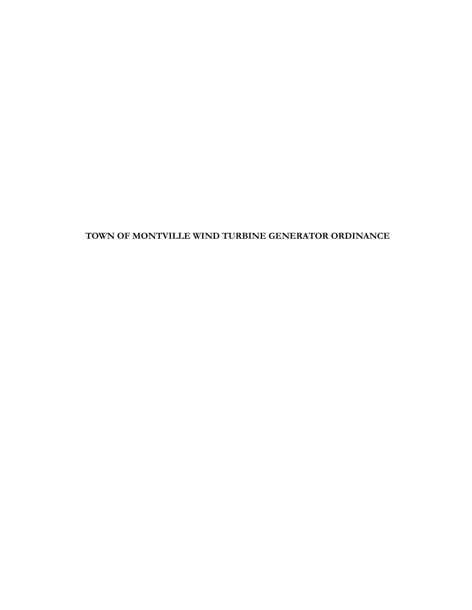# TOWN OF MONTVILLE WIND TURBINE GENERATOR ORDINANCE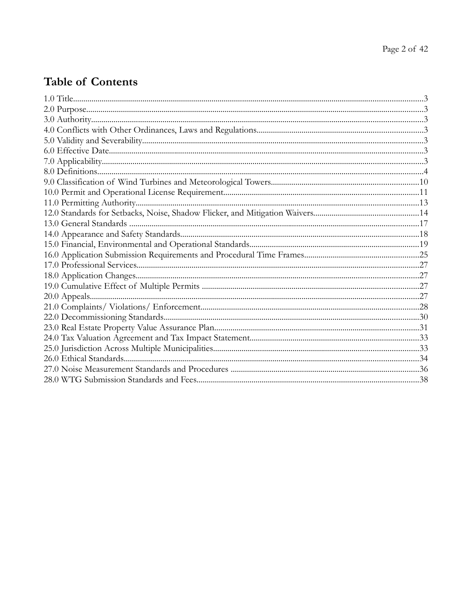# **Table of Contents**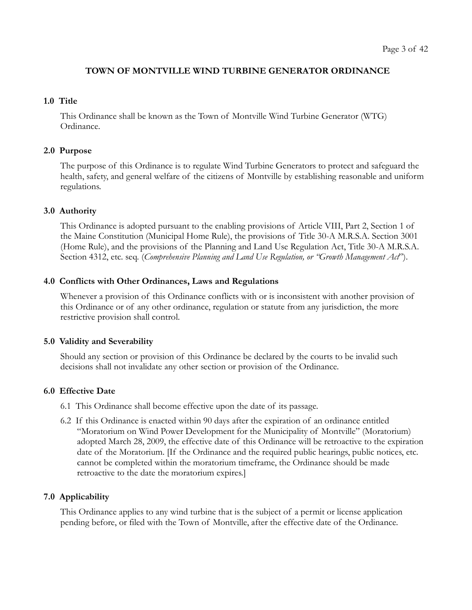# TOWN OF MONTVILLE WIND TURBINE GENERATOR ORDINANCE

#### 1.0 Title

This Ordinance shall be known as the Town of Montville Wind Turbine Generator (WTG) Ordinance.

#### 2.0 Purpose

The purpose of this Ordinance is to regulate Wind Turbine Generators to protect and safeguard the health, safety, and general welfare of the citizens of Montville by establishing reasonable and uniform regulations.

#### 3.0 Authority

This Ordinance is adopted pursuant to the enabling provisions of Article VIII, Part 2, Section 1 of the Maine Constitution (Municipal Home Rule), the provisions of Title 30-A M.R.S.A. Section 3001 (Home Rule), and the provisions of the Planning and Land Use Regulation Act, Title 30-A M.R.S.A. Section 4312, etc. seq. (Comprehensive Planning and Land Use Regulation, or "Growth Management Act").

#### 4.0 Conflicts with Other Ordinances, Laws and Regulations

Whenever a provision of this Ordinance conflicts with or is inconsistent with another provision of this Ordinance or of any other ordinance, regulation or statute from any jurisdiction, the more restrictive provision shall control.

#### 5.0 Validity and Severability

Should any section or provision of this Ordinance be declared by the courts to be invalid such decisions shall not invalidate any other section or provision of the Ordinance.

#### 6.0 Effective Date

- 6.1 This Ordinance shall become effective upon the date of its passage.
- 6.2 If this Ordinance is enacted within 90 days after the expiration of an ordinance entitled "Moratorium on Wind Power Development for the Municipality of Montville" (Moratorium) adopted March 28, 2009, the effective date of this Ordinance will be retroactive to the expiration date of the Moratorium. [If the Ordinance and the required public hearings, public notices, etc. cannot be completed within the moratorium timeframe, the Ordinance should be made retroactive to the date the moratorium expires.]

#### 7.0 Applicability

This Ordinance applies to any wind turbine that is the subject of a permit or license application pending before, or filed with the Town of Montville, after the effective date of the Ordinance.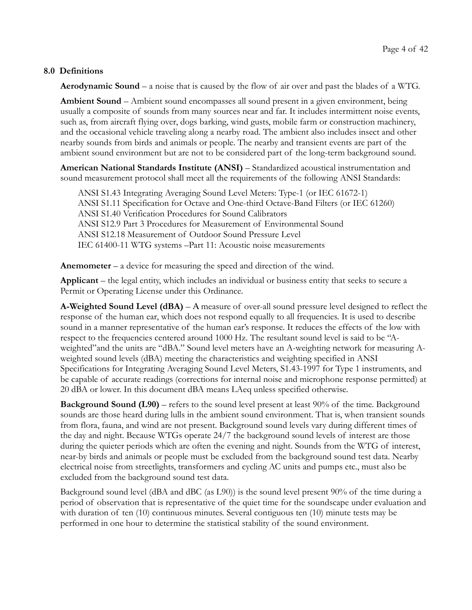# 8.0 Definitions

Aerodynamic Sound – a noise that is caused by the flow of air over and past the blades of a WTG.

Ambient Sound – Ambient sound encompasses all sound present in a given environment, being usually a composite of sounds from many sources near and far. It includes intermittent noise events, such as, from aircraft flying over, dogs barking, wind gusts, mobile farm or construction machinery, and the occasional vehicle traveling along a nearby road. The ambient also includes insect and other nearby sounds from birds and animals or people. The nearby and transient events are part of the ambient sound environment but are not to be considered part of the long-term background sound.

American National Standards Institute (ANSI) – Standardized acoustical instrumentation and sound measurement protocol shall meet all the requirements of the following ANSI Standards:

ANSI S1.43 Integrating Averaging Sound Level Meters: Type-1 (or IEC 61672-1) ANSI S1.11 Specification for Octave and One-third Octave-Band Filters (or IEC 61260) ANSI S1.40 Verification Procedures for Sound Calibrators ANSI S12.9 Part 3 Procedures for Measurement of Environmental Sound ANSI S12.18 Measurement of Outdoor Sound Pressure Level IEC 61400-11 WTG systems –Part 11: Acoustic noise measurements

Anemometer – a device for measuring the speed and direction of the wind.

Applicant – the legal entity, which includes an individual or business entity that seeks to secure a Permit or Operating License under this Ordinance.

**A-Weighted Sound Level (dBA)** – A measure of over-all sound pressure level designed to reflect the response of the human ear, which does not respond equally to all frequencies. It is used to describe sound in a manner representative of the human ear's response. It reduces the effects of the low with respect to the frequencies centered around 1000 Hz. The resultant sound level is said to be "Aweighted"and the units are "dBA." Sound level meters have an A-weighting network for measuring Aweighted sound levels (dBA) meeting the characteristics and weighting specified in ANSI Specifications for Integrating Averaging Sound Level Meters, S1.43-1997 for Type 1 instruments, and be capable of accurate readings (corrections for internal noise and microphone response permitted) at 20 dBA or lower. In this document dBA means LAeq unless specified otherwise.

Background Sound (L90) – refers to the sound level present at least 90% of the time. Background sounds are those heard during lulls in the ambient sound environment. That is, when transient sounds from flora, fauna, and wind are not present. Background sound levels vary during different times of the day and night. Because WTGs operate 24/7 the background sound levels of interest are those during the quieter periods which are often the evening and night. Sounds from the WTG of interest, near-by birds and animals or people must be excluded from the background sound test data. Nearby electrical noise from streetlights, transformers and cycling AC units and pumps etc., must also be excluded from the background sound test data.

Background sound level (dBA and dBC (as L90)) is the sound level present 90% of the time during a period of observation that is representative of the quiet time for the soundscape under evaluation and with duration of ten (10) continuous minutes. Several contiguous ten (10) minute tests may be performed in one hour to determine the statistical stability of the sound environment.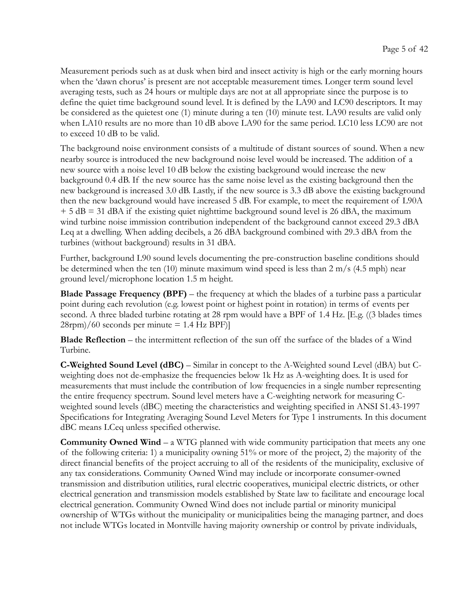Measurement periods such as at dusk when bird and insect activity is high or the early morning hours when the 'dawn chorus' is present are not acceptable measurement times. Longer term sound level averaging tests, such as 24 hours or multiple days are not at all appropriate since the purpose is to define the quiet time background sound level. It is defined by the LA90 and LC90 descriptors. It may be considered as the quietest one (1) minute during a ten (10) minute test. LA90 results are valid only when LA10 results are no more than 10 dB above LA90 for the same period. LC10 less LC90 are not to exceed 10 dB to be valid.

The background noise environment consists of a multitude of distant sources of sound. When a new nearby source is introduced the new background noise level would be increased. The addition of a new source with a noise level 10 dB below the existing background would increase the new background 0.4 dB. If the new source has the same noise level as the existing background then the new background is increased 3.0 dB. Lastly, if the new source is 3.3 dB above the existing background then the new background would have increased 5 dB. For example, to meet the requirement of L90A  $+ 5 dB = 31 dB$  and the existing quiet nighttime background sound level is 26 dBA, the maximum wind turbine noise immission contribution independent of the background cannot exceed 29.3 dBA Leq at a dwelling. When adding decibels, a 26 dBA background combined with 29.3 dBA from the turbines (without background) results in 31 dBA.

Further, background L90 sound levels documenting the pre-construction baseline conditions should be determined when the ten (10) minute maximum wind speed is less than 2 m/s (4.5 mph) near ground level/microphone location 1.5 m height.

**Blade Passage Frequency (BPF)** – the frequency at which the blades of a turbine pass a particular point during each revolution (e.g. lowest point or highest point in rotation) in terms of events per second. A three bladed turbine rotating at 28 rpm would have a BPF of 1.4 Hz. [E.g. ((3 blades times  $28$ rpm $/60$  seconds per minute = 1.4 Hz BPF $]$ 

Blade Reflection – the intermittent reflection of the sun off the surface of the blades of a Wind Turbine.

C-Weighted Sound Level (dBC) – Similar in concept to the A-Weighted sound Level (dBA) but Cweighting does not de-emphasize the frequencies below 1k Hz as A-weighting does. It is used for measurements that must include the contribution of low frequencies in a single number representing the entire frequency spectrum. Sound level meters have a C-weighting network for measuring Cweighted sound levels (dBC) meeting the characteristics and weighting specified in ANSI S1.43-1997 Specifications for Integrating Averaging Sound Level Meters for Type 1 instruments. In this document dBC means LCeq unless specified otherwise.

**Community Owned Wind** – a WTG planned with wide community participation that meets any one of the following criteria: 1) a municipality owning 51% or more of the project, 2) the majority of the direct financial benefits of the project accruing to all of the residents of the municipality, exclusive of any tax considerations. Community Owned Wind may include or incorporate consumer-owned transmission and distribution utilities, rural electric cooperatives, municipal electric districts, or other electrical generation and transmission models established by State law to facilitate and encourage local electrical generation. Community Owned Wind does not include partial or minority municipal ownership of WTGs without the municipality or municipalities being the managing partner, and does not include WTGs located in Montville having majority ownership or control by private individuals,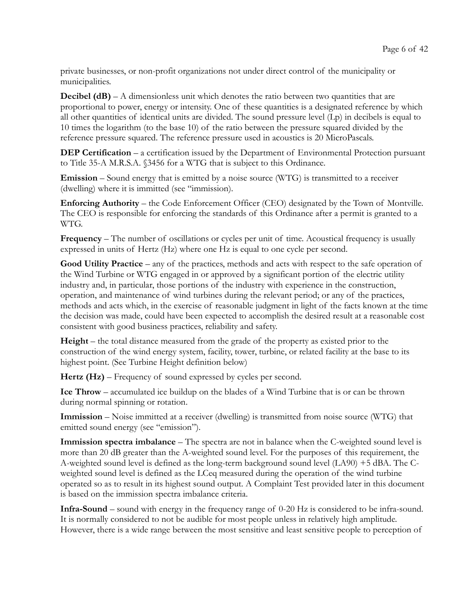private businesses, or non-profit organizations not under direct control of the municipality or municipalities.

**Decibel (dB)** – A dimensionless unit which denotes the ratio between two quantities that are proportional to power, energy or intensity. One of these quantities is a designated reference by which all other quantities of identical units are divided. The sound pressure level  $(L_p)$  in decibels is equal to 10 times the logarithm (to the base 10) of the ratio between the pressure squared divided by the reference pressure squared. The reference pressure used in acoustics is 20 MicroPascals.

**DEP Certification** – a certification issued by the Department of Environmental Protection pursuant to Title 35-A M.R.S.A. §3456 for a WTG that is subject to this Ordinance.

Emission – Sound energy that is emitted by a noise source (WTG) is transmitted to a receiver (dwelling) where it is immitted (see "immission).

Enforcing Authority – the Code Enforcement Officer (CEO) designated by the Town of Montville. The CEO is responsible for enforcing the standards of this Ordinance after a permit is granted to a WTG.

Frequency – The number of oscillations or cycles per unit of time. Acoustical frequency is usually expressed in units of Hertz (Hz) where one Hz is equal to one cycle per second.

Good Utility Practice – any of the practices, methods and acts with respect to the safe operation of the Wind Turbine or WTG engaged in or approved by a significant portion of the electric utility industry and, in particular, those portions of the industry with experience in the construction, operation, and maintenance of wind turbines during the relevant period; or any of the practices, methods and acts which, in the exercise of reasonable judgment in light of the facts known at the time the decision was made, could have been expected to accomplish the desired result at a reasonable cost consistent with good business practices, reliability and safety.

Height – the total distance measured from the grade of the property as existed prior to the construction of the wind energy system, facility, tower, turbine, or related facility at the base to its highest point. (See Turbine Height definition below)

Hertz (Hz) – Frequency of sound expressed by cycles per second.

Ice Throw – accumulated ice buildup on the blades of a Wind Turbine that is or can be thrown during normal spinning or rotation.

Immission – Noise immitted at a receiver (dwelling) is transmitted from noise source (WTG) that emitted sound energy (see "emission").

Immission spectra imbalance – The spectra are not in balance when the C-weighted sound level is more than 20 dB greater than the A-weighted sound level. For the purposes of this requirement, the A-weighted sound level is defined as the long-term background sound level (LA90) +5 dBA. The Cweighted sound level is defined as the LCeq measured during the operation of the wind turbine operated so as to result in its highest sound output. A Complaint Test provided later in this document is based on the immission spectra imbalance criteria.

Infra-Sound – sound with energy in the frequency range of 0-20 Hz is considered to be infra-sound. It is normally considered to not be audible for most people unless in relatively high amplitude. However, there is a wide range between the most sensitive and least sensitive people to perception of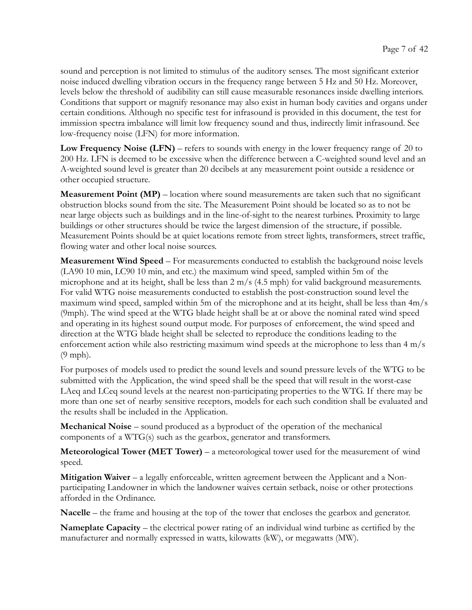sound and perception is not limited to stimulus of the auditory senses. The most significant exterior noise induced dwelling vibration occurs in the frequency range between 5 Hz and 50 Hz. Moreover, levels below the threshold of audibility can still cause measurable resonances inside dwelling interiors. Conditions that support or magnify resonance may also exist in human body cavities and organs under certain conditions. Although no specific test for infrasound is provided in this document, the test for immission spectra imbalance will limit low frequency sound and thus, indirectly limit infrasound. See low-frequency noise (LFN) for more information.

Low Frequency Noise (LFN) – refers to sounds with energy in the lower frequency range of 20 to 200 Hz. LFN is deemed to be excessive when the difference between a C-weighted sound level and an A-weighted sound level is greater than 20 decibels at any measurement point outside a residence or other occupied structure.

**Measurement Point (MP)** – location where sound measurements are taken such that no significant obstruction blocks sound from the site. The Measurement Point should be located so as to not be near large objects such as buildings and in the line-of-sight to the nearest turbines. Proximity to large buildings or other structures should be twice the largest dimension of the structure, if possible. Measurement Points should be at quiet locations remote from street lights, transformers, street traffic, flowing water and other local noise sources.

Measurement Wind Speed – For measurements conducted to establish the background noise levels (LA90 10 min, LC90 10 min, and etc.) the maximum wind speed, sampled within 5m of the microphone and at its height, shall be less than 2 m/s (4.5 mph) for valid background measurements. For valid WTG noise measurements conducted to establish the post-construction sound level the maximum wind speed, sampled within 5m of the microphone and at its height, shall be less than 4m/s (9mph). The wind speed at the WTG blade height shall be at or above the nominal rated wind speed and operating in its highest sound output mode. For purposes of enforcement, the wind speed and direction at the WTG blade height shall be selected to reproduce the conditions leading to the enforcement action while also restricting maximum wind speeds at the microphone to less than 4 m/s (9 mph).

For purposes of models used to predict the sound levels and sound pressure levels of the WTG to be submitted with the Application, the wind speed shall be the speed that will result in the worst-case LAeq and LCeq sound levels at the nearest non-participating properties to the WTG. If there may be more than one set of nearby sensitive receptors, models for each such condition shall be evaluated and the results shall be included in the Application.

Mechanical Noise – sound produced as a byproduct of the operation of the mechanical components of a  $WTG(s)$  such as the gearbox, generator and transformers.

Meteorological Tower (MET Tower) – a meteorological tower used for the measurement of wind speed.

**Mitigation Waiver** – a legally enforceable, written agreement between the Applicant and a Nonparticipating Landowner in which the landowner waives certain setback, noise or other protections afforded in the Ordinance.

Nacelle – the frame and housing at the top of the tower that encloses the gearbox and generator.

Nameplate Capacity – the electrical power rating of an individual wind turbine as certified by the manufacturer and normally expressed in watts, kilowatts (kW), or megawatts (MW).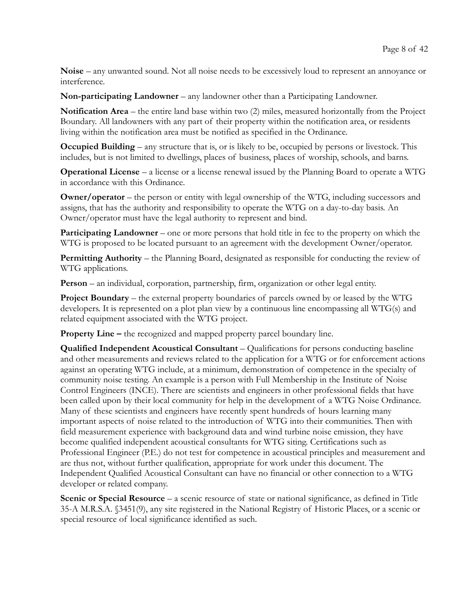Noise – any unwanted sound. Not all noise needs to be excessively loud to represent an annoyance or interference.

Non-participating Landowner – any landowner other than a Participating Landowner.

Notification Area – the entire land base within two (2) miles, measured horizontally from the Project Boundary. All landowners with any part of their property within the notification area, or residents living within the notification area must be notified as specified in the Ordinance.

Occupied Building – any structure that is, or is likely to be, occupied by persons or livestock. This includes, but is not limited to dwellings, places of business, places of worship, schools, and barns.

Operational License – a license or a license renewal issued by the Planning Board to operate a WTG in accordance with this Ordinance.

Owner/operator – the person or entity with legal ownership of the WTG, including successors and assigns, that has the authority and responsibility to operate the WTG on a day-to-day basis. An Owner/operator must have the legal authority to represent and bind.

Participating Landowner – one or more persons that hold title in fee to the property on which the WTG is proposed to be located pursuant to an agreement with the development Owner/operator.

Permitting Authority – the Planning Board, designated as responsible for conducting the review of WTG applications.

Person – an individual, corporation, partnership, firm, organization or other legal entity.

Project Boundary – the external property boundaries of parcels owned by or leased by the WTG developers. It is represented on a plot plan view by a continuous line encompassing all WTG(s) and related equipment associated with the WTG project.

Property Line – the recognized and mapped property parcel boundary line.

Qualified Independent Acoustical Consultant – Qualifications for persons conducting baseline and other measurements and reviews related to the application for a WTG or for enforcement actions against an operating WTG include, at a minimum, demonstration of competence in the specialty of community noise testing. An example is a person with Full Membership in the Institute of Noise Control Engineers (INCE). There are scientists and engineers in other professional fields that have been called upon by their local community for help in the development of a WTG Noise Ordinance. Many of these scientists and engineers have recently spent hundreds of hours learning many important aspects of noise related to the introduction of WTG into their communities. Then with field measurement experience with background data and wind turbine noise emission, they have become qualified independent acoustical consultants for WTG siting. Certifications such as Professional Engineer (P.E.) do not test for competence in acoustical principles and measurement and are thus not, without further qualification, appropriate for work under this document. The Independent Qualified Acoustical Consultant can have no financial or other connection to a WTG developer or related company.

Scenic or Special Resource – a scenic resource of state or national significance, as defined in Title 35-A M.R.S.A. §3451(9), any site registered in the National Registry of Historic Places, or a scenic or special resource of local significance identified as such.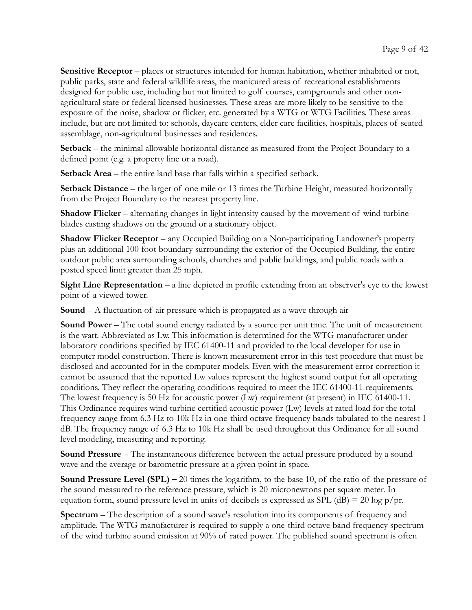Sensitive Receptor – places or structures intended for human habitation, whether inhabited or not, public parks, state and federal wildlife areas, the manicured areas of recreational establishments designed for public use, including but not limited to golf courses, campgrounds and other nonagricultural state or federal licensed businesses. These areas are more likely to be sensitive to the exposure of the noise, shadow or flicker, etc. generated by a WTG or WTG Facilities. These areas include, but are not limited to: schools, daycare centers, elder care facilities, hospitals, places of seated assemblage, non-agricultural businesses and residences.

Setback – the minimal allowable horizontal distance as measured from the Project Boundary to a defined point (e.g. a property line or a road).

Setback Area – the entire land base that falls within a specified setback.

Setback Distance – the larger of one mile or 13 times the Turbine Height, measured horizontally from the Project Boundary to the nearest property line.

Shadow Flicker – alternating changes in light intensity caused by the movement of wind turbine blades casting shadows on the ground or a stationary object.

Shadow Flicker Receptor – any Occupied Building on a Non-participating Landowner's property plus an additional 100 foot boundary surrounding the exterior of the Occupied Building, the entire outdoor public area surrounding schools, churches and public buildings, and public roads with a posted speed limit greater than 25 mph.

Sight Line Representation – a line depicted in profile extending from an observer's eye to the lowest point of a viewed tower.

Sound – A fluctuation of air pressure which is propagated as a wave through air

Sound Power – The total sound energy radiated by a source per unit time. The unit of measurement is the watt. Abbreviated as Lw. This information is determined for the WTG manufacturer under laboratory conditions specified by IEC 61400-11 and provided to the local developer for use in computer model construction. There is known measurement error in this test procedure that must be disclosed and accounted for in the computer models. Even with the measurement error correction it cannot be assumed that the reported Lw values represent the highest sound output for all operating conditions. They reflect the operating conditions required to meet the IEC 61400-11 requirements. The lowest frequency is 50 Hz for acoustic power (Lw) requirement (at present) in IEC 61400-11. This Ordinance requires wind turbine certified acoustic power (Lw) levels at rated load for the total frequency range from 6.3 Hz to 10k Hz in one-third octave frequency bands tabulated to the nearest 1 dB. The frequency range of 6.3 Hz to 10k Hz shall be used throughout this Ordinance for all sound level modeling, measuring and reporting.

Sound Pressure – The instantaneous difference between the actual pressure produced by a sound wave and the average or barometric pressure at a given point in space.

**Sound Pressure Level (SPL)** – 20 times the logarithm, to the base 10, of the ratio of the pressure of the sound measured to the reference pressure, which is 20 micronewtons per square meter. In equation form, sound pressure level in units of decibels is expressed as SPL (dB) = 20 log  $p/pr$ .

Spectrum – The description of a sound wave's resolution into its components of frequency and amplitude. The WTG manufacturer is required to supply a one-third octave band frequency spectrum of the wind turbine sound emission at 90% of rated power. The published sound spectrum is often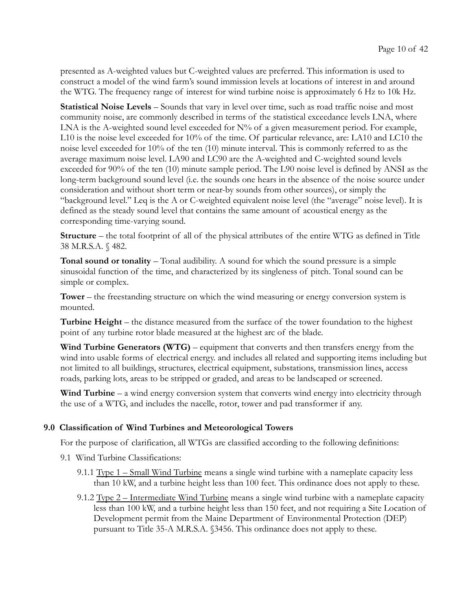presented as A-weighted values but C-weighted values are preferred. This information is used to construct a model of the wind farm's sound immission levels at locations of interest in and around the WTG. The frequency range of interest for wind turbine noise is approximately 6 Hz to 10k Hz.

Statistical Noise Levels – Sounds that vary in level over time, such as road traffic noise and most community noise, are commonly described in terms of the statistical exceedance levels LNA, where LNA is the A-weighted sound level exceeded for  $N\%$  of a given measurement period. For example, L10 is the noise level exceeded for 10% of the time. Of particular relevance, are: LA10 and LC10 the noise level exceeded for 10% of the ten (10) minute interval. This is commonly referred to as the average maximum noise level. LA90 and LC90 are the A-weighted and C-weighted sound levels exceeded for 90% of the ten (10) minute sample period. The L90 noise level is defined by ANSI as the long-term background sound level (i.e. the sounds one hears in the absence of the noise source under consideration and without short term or near-by sounds from other sources), or simply the "background level." Leq is the A or C-weighted equivalent noise level (the "average" noise level). It is defined as the steady sound level that contains the same amount of acoustical energy as the corresponding time-varying sound.

Structure – the total footprint of all of the physical attributes of the entire WTG as defined in Title 38 M.R.S.A. § 482.

Tonal sound or tonality – Tonal audibility. A sound for which the sound pressure is a simple sinusoidal function of the time, and characterized by its singleness of pitch. Tonal sound can be simple or complex.

Tower – the freestanding structure on which the wind measuring or energy conversion system is mounted.

Turbine Height – the distance measured from the surface of the tower foundation to the highest point of any turbine rotor blade measured at the highest arc of the blade.

Wind Turbine Generators (WTG) – equipment that converts and then transfers energy from the wind into usable forms of electrical energy. and includes all related and supporting items including but not limited to all buildings, structures, electrical equipment, substations, transmission lines, access roads, parking lots, areas to be stripped or graded, and areas to be landscaped or screened.

Wind Turbine – a wind energy conversion system that converts wind energy into electricity through the use of a WTG, and includes the nacelle, rotor, tower and pad transformer if any.

#### 9.0 Classification of Wind Turbines and Meteorological Towers

For the purpose of clarification, all WTGs are classified according to the following definitions:

- 9.1 Wind Turbine Classifications:
	- 9.1.1 Type 1 Small Wind Turbine means a single wind turbine with a nameplate capacity less than 10 kW, and a turbine height less than 100 feet. This ordinance does not apply to these.
	- 9.1.2 Type 2 Intermediate Wind Turbine means a single wind turbine with a nameplate capacity less than 100 kW, and a turbine height less than 150 feet, and not requiring a Site Location of Development permit from the Maine Department of Environmental Protection (DEP) pursuant to Title 35-A M.R.S.A. §3456. This ordinance does not apply to these.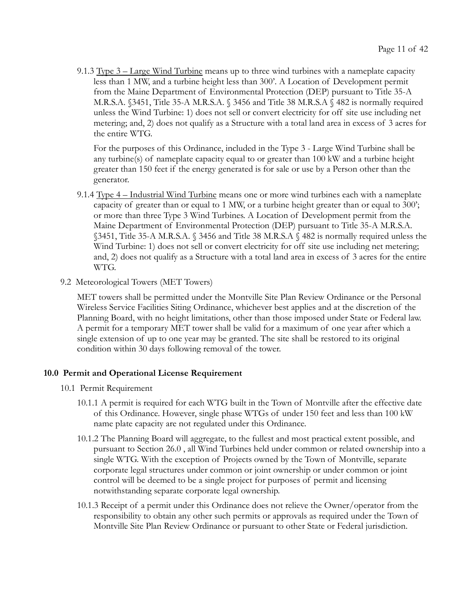9.1.3 Type 3 – Large Wind Turbine means up to three wind turbines with a nameplate capacity less than 1 MW, and a turbine height less than 300'. A Location of Development permit from the Maine Department of Environmental Protection (DEP) pursuant to Title 35-A M.R.S.A. §3451, Title 35-A M.R.S.A. § 3456 and Title 38 M.R.S.A § 482 is normally required unless the Wind Turbine: 1) does not sell or convert electricity for off site use including net metering; and, 2) does not qualify as a Structure with a total land area in excess of 3 acres for the entire WTG.

For the purposes of this Ordinance, included in the Type 3 - Large Wind Turbine shall be any turbine(s) of nameplate capacity equal to or greater than 100 kW and a turbine height greater than 150 feet if the energy generated is for sale or use by a Person other than the generator.

- 9.1.4 Type 4 Industrial Wind Turbine means one or more wind turbines each with a nameplate capacity of greater than or equal to 1 MW, or a turbine height greater than or equal to 300'; or more than three Type 3 Wind Turbines. A Location of Development permit from the Maine Department of Environmental Protection (DEP) pursuant to Title 35-A M.R.S.A. §3451, Title 35-A M.R.S.A. § 3456 and Title 38 M.R.S.A § 482 is normally required unless the Wind Turbine: 1) does not sell or convert electricity for off site use including net metering; and, 2) does not qualify as a Structure with a total land area in excess of 3 acres for the entire WTG.
- 9.2 Meteorological Towers (MET Towers)

MET towers shall be permitted under the Montville Site Plan Review Ordinance or the Personal Wireless Service Facilities Siting Ordinance, whichever best applies and at the discretion of the Planning Board, with no height limitations, other than those imposed under State or Federal law. A permit for a temporary MET tower shall be valid for a maximum of one year after which a single extension of up to one year may be granted. The site shall be restored to its original condition within 30 days following removal of the tower.

#### 10.0 Permit and Operational License Requirement

- 10.1 Permit Requirement
	- 10.1.1 A permit is required for each WTG built in the Town of Montville after the effective date of this Ordinance. However, single phase WTGs of under 150 feet and less than 100 kW name plate capacity are not regulated under this Ordinance.
	- 10.1.2 The Planning Board will aggregate, to the fullest and most practical extent possible, and pursuant to Section 26.0 , all Wind Turbines held under common or related ownership into a single WTG. With the exception of Projects owned by the Town of Montville, separate corporate legal structures under common or joint ownership or under common or joint control will be deemed to be a single project for purposes of permit and licensing notwithstanding separate corporate legal ownership.
	- 10.1.3 Receipt of a permit under this Ordinance does not relieve the Owner/operator from the responsibility to obtain any other such permits or approvals as required under the Town of Montville Site Plan Review Ordinance or pursuant to other State or Federal jurisdiction.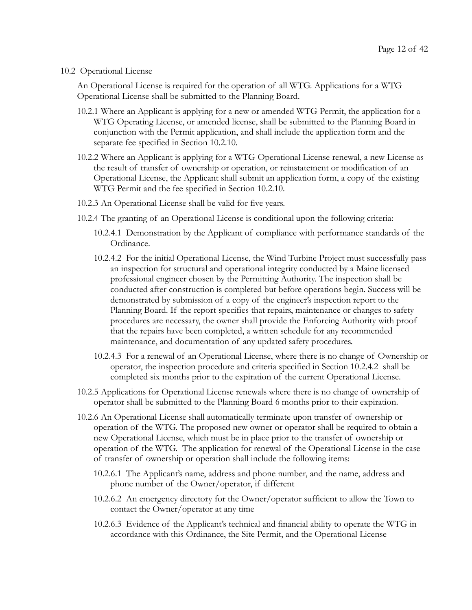#### 10.2 Operational License

An Operational License is required for the operation of all WTG. Applications for a WTG Operational License shall be submitted to the Planning Board.

- 10.2.1 Where an Applicant is applying for a new or amended WTG Permit, the application for a WTG Operating License, or amended license, shall be submitted to the Planning Board in conjunction with the Permit application, and shall include the application form and the separate fee specified in Section 10.2.10.
- 10.2.2 Where an Applicant is applying for a WTG Operational License renewal, a new License as the result of transfer of ownership or operation, or reinstatement or modification of an Operational License, the Applicant shall submit an application form, a copy of the existing WTG Permit and the fee specified in Section 10.2.10.
- 10.2.3 An Operational License shall be valid for five years.
- 10.2.4 The granting of an Operational License is conditional upon the following criteria:
	- 10.2.4.1 Demonstration by the Applicant of compliance with performance standards of the Ordinance.
	- 10.2.4.2 For the initial Operational License, the Wind Turbine Project must successfully pass an inspection for structural and operational integrity conducted by a Maine licensed professional engineer chosen by the Permitting Authority. The inspection shall be conducted after construction is completed but before operations begin. Success will be demonstrated by submission of a copy of the engineer's inspection report to the Planning Board. If the report specifies that repairs, maintenance or changes to safety procedures are necessary, the owner shall provide the Enforcing Authority with proof that the repairs have been completed, a written schedule for any recommended maintenance, and documentation of any updated safety procedures.
	- 10.2.4.3 For a renewal of an Operational License, where there is no change of Ownership or operator, the inspection procedure and criteria specified in Section 10.2.4.2 shall be completed six months prior to the expiration of the current Operational License.
- 10.2.5 Applications for Operational License renewals where there is no change of ownership of operator shall be submitted to the Planning Board 6 months prior to their expiration.
- 10.2.6 An Operational License shall automatically terminate upon transfer of ownership or operation of the WTG. The proposed new owner or operator shall be required to obtain a new Operational License, which must be in place prior to the transfer of ownership or operation of the WTG. The application for renewal of the Operational License in the case of transfer of ownership or operation shall include the following items:
	- 10.2.6.1 The Applicant's name, address and phone number, and the name, address and phone number of the Owner/operator, if different
	- 10.2.6.2 An emergency directory for the Owner/operator sufficient to allow the Town to contact the Owner/operator at any time
	- 10.2.6.3 Evidence of the Applicant's technical and financial ability to operate the WTG in accordance with this Ordinance, the Site Permit, and the Operational License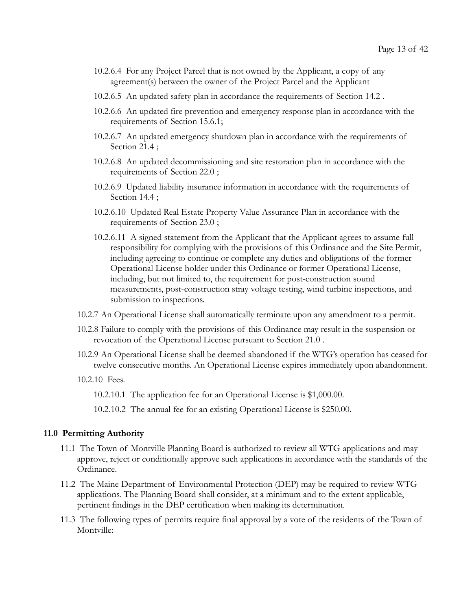- 10.2.6.4 For any Project Parcel that is not owned by the Applicant, a copy of any agreement(s) between the owner of the Project Parcel and the Applicant
- 10.2.6.5 An updated safety plan in accordance the requirements of Section 14.2 .
- 10.2.6.6 An updated fire prevention and emergency response plan in accordance with the requirements of Section 15.6.1;
- 10.2.6.7 An updated emergency shutdown plan in accordance with the requirements of Section 21.4 ;
- 10.2.6.8 An updated decommissioning and site restoration plan in accordance with the requirements of Section 22.0 ;
- 10.2.6.9 Updated liability insurance information in accordance with the requirements of Section 14.4;
- 10.2.6.10 Updated Real Estate Property Value Assurance Plan in accordance with the requirements of Section 23.0 ;
- 10.2.6.11 A signed statement from the Applicant that the Applicant agrees to assume full responsibility for complying with the provisions of this Ordinance and the Site Permit, including agreeing to continue or complete any duties and obligations of the former Operational License holder under this Ordinance or former Operational License, including, but not limited to, the requirement for post-construction sound measurements, post-construction stray voltage testing, wind turbine inspections, and submission to inspections.
- 10.2.7 An Operational License shall automatically terminate upon any amendment to a permit.
- 10.2.8 Failure to comply with the provisions of this Ordinance may result in the suspension or revocation of the Operational License pursuant to Section 21.0 .
- 10.2.9 An Operational License shall be deemed abandoned if the WTG's operation has ceased for twelve consecutive months. An Operational License expires immediately upon abandonment.
- 10.2.10 Fees.

10.2.10.1 The application fee for an Operational License is \$1,000.00.

10.2.10.2 The annual fee for an existing Operational License is \$250.00.

#### 11.0 Permitting Authority

- 11.1 The Town of Montville Planning Board is authorized to review all WTG applications and may approve, reject or conditionally approve such applications in accordance with the standards of the Ordinance.
- 11.2 The Maine Department of Environmental Protection (DEP) may be required to review WTG applications. The Planning Board shall consider, at a minimum and to the extent applicable, pertinent findings in the DEP certification when making its determination.
- 11.3 The following types of permits require final approval by a vote of the residents of the Town of Montville: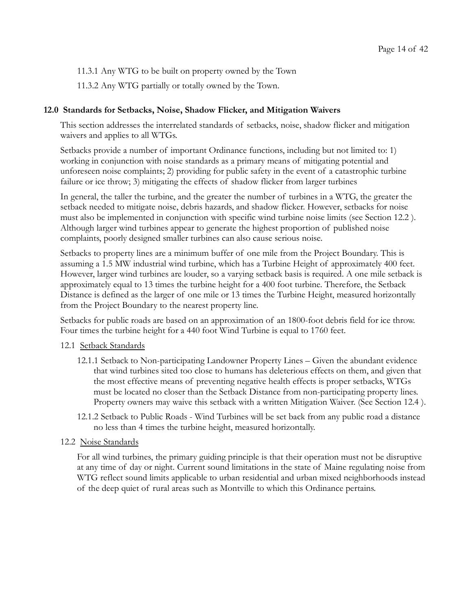11.3.1 Any WTG to be built on property owned by the Town

11.3.2 Any WTG partially or totally owned by the Town.

# 12.0 Standards for Setbacks, Noise, Shadow Flicker, and Mitigation Waivers

This section addresses the interrelated standards of setbacks, noise, shadow flicker and mitigation waivers and applies to all WTGs.

Setbacks provide a number of important Ordinance functions, including but not limited to: 1) working in conjunction with noise standards as a primary means of mitigating potential and unforeseen noise complaints; 2) providing for public safety in the event of a catastrophic turbine failure or ice throw; 3) mitigating the effects of shadow flicker from larger turbines

In general, the taller the turbine, and the greater the number of turbines in a WTG, the greater the setback needed to mitigate noise, debris hazards, and shadow flicker. However, setbacks for noise must also be implemented in conjunction with specific wind turbine noise limits (see Section 12.2 ). Although larger wind turbines appear to generate the highest proportion of published noise complaints, poorly designed smaller turbines can also cause serious noise.

Setbacks to property lines are a minimum buffer of one mile from the Project Boundary. This is assuming a 1.5 MW industrial wind turbine, which has a Turbine Height of approximately 400 feet. However, larger wind turbines are louder, so a varying setback basis is required. A one mile setback is approximately equal to 13 times the turbine height for a 400 foot turbine. Therefore, the Setback Distance is defined as the larger of one mile or 13 times the Turbine Height, measured horizontally from the Project Boundary to the nearest property line.

Setbacks for public roads are based on an approximation of an 1800-foot debris field for ice throw. Four times the turbine height for a 440 foot Wind Turbine is equal to 1760 feet.

#### 12.1 Setback Standards

- 12.1.1 Setback to Non-participating Landowner Property Lines Given the abundant evidence that wind turbines sited too close to humans has deleterious effects on them, and given that the most effective means of preventing negative health effects is proper setbacks, WTGs must be located no closer than the Setback Distance from non-participating property lines. Property owners may waive this setback with a written Mitigation Waiver. (See Section 12.4 ).
- 12.1.2 Setback to Public Roads Wind Turbines will be set back from any public road a distance no less than 4 times the turbine height, measured horizontally.

#### 12.2 Noise Standards

For all wind turbines, the primary guiding principle is that their operation must not be disruptive at any time of day or night. Current sound limitations in the state of Maine regulating noise from WTG reflect sound limits applicable to urban residential and urban mixed neighborhoods instead of the deep quiet of rural areas such as Montville to which this Ordinance pertains.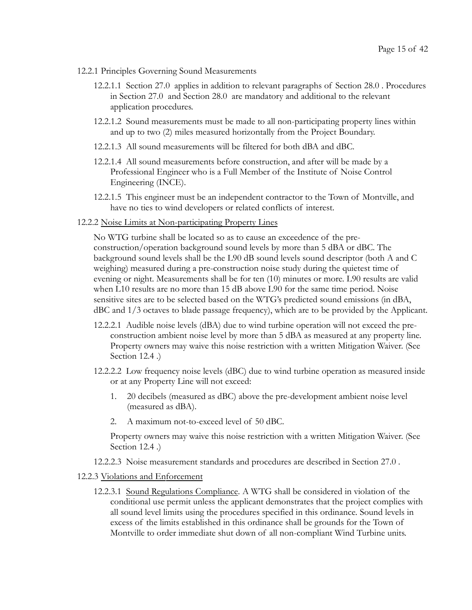- 12.2.1 Principles Governing Sound Measurements
	- 12.2.1.1 Section 27.0 applies in addition to relevant paragraphs of Section 28.0 . Procedures in Section 27.0 and Section 28.0 are mandatory and additional to the relevant application procedures.
	- 12.2.1.2 Sound measurements must be made to all non-participating property lines within and up to two (2) miles measured horizontally from the Project Boundary.
	- 12.2.1.3 All sound measurements will be filtered for both dBA and dBC.
	- 12.2.1.4 All sound measurements before construction, and after will be made by a Professional Engineer who is a Full Member of the Institute of Noise Control Engineering (INCE).
	- 12.2.1.5 This engineer must be an independent contractor to the Town of Montville, and have no ties to wind developers or related conflicts of interest.
- 12.2.2 Noise Limits at Non-participating Property Lines

No WTG turbine shall be located so as to cause an exceedence of the preconstruction/operation background sound levels by more than 5 dBA or dBC. The background sound levels shall be the L90 dB sound levels sound descriptor (both A and C weighing) measured during a pre-construction noise study during the quietest time of evening or night. Measurements shall be for ten (10) minutes or more. L90 results are valid when L10 results are no more than 15 dB above L90 for the same time period. Noise sensitive sites are to be selected based on the WTG's predicted sound emissions (in dBA, dBC and 1/3 octaves to blade passage frequency), which are to be provided by the Applicant.

- 12.2.2.1 Audible noise levels (dBA) due to wind turbine operation will not exceed the preconstruction ambient noise level by more than 5 dBA as measured at any property line. Property owners may waive this noise restriction with a written Mitigation Waiver. (See Section 12.4 .)
- 12.2.2.2 Low frequency noise levels (dBC) due to wind turbine operation as measured inside or at any Property Line will not exceed:
	- 1. 20 decibels (measured as dBC) above the pre-development ambient noise level (measured as dBA).
	- 2. A maximum not-to-exceed level of 50 dBC.

Property owners may waive this noise restriction with a written Mitigation Waiver. (See Section 12.4 .)

12.2.2.3 Noise measurement standards and procedures are described in Section 27.0 .

#### 12.2.3 Violations and Enforcement

12.2.3.1 Sound Regulations Compliance . A WTG shall be considered in violation of the conditional use permit unless the applicant demonstrates that the project complies with all sound level limits using the procedures specified in this ordinance. Sound levels in excess of the limits established in this ordinance shall be grounds for the Town of Montville to order immediate shut down of all non-compliant Wind Turbine units.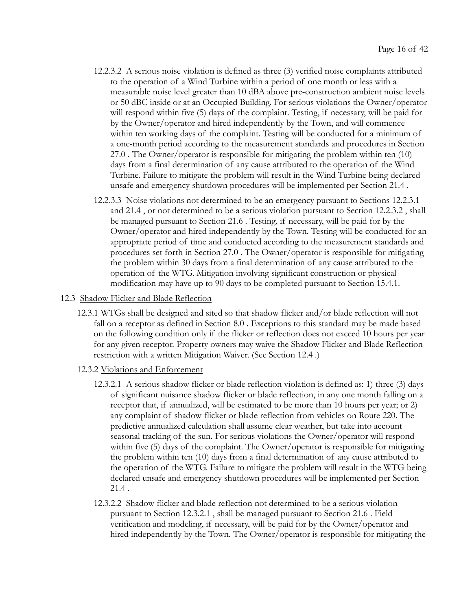- 12.2.3.2 A serious noise violation is defined as three (3) verified noise complaints attributed to the operation of a Wind Turbine within a period of one month or less with a measurable noise level greater than 10 dBA above pre-construction ambient noise levels or 50 dBC inside or at an Occupied Building. For serious violations the Owner/operator will respond within five (5) days of the complaint. Testing, if necessary, will be paid for by the Owner/operator and hired independently by the Town, and will commence within ten working days of the complaint. Testing will be conducted for a minimum of a one-month period according to the measurement standards and procedures in Section 27.0 . The Owner/operator is responsible for mitigating the problem within ten (10) days from a final determination of any cause attributed to the operation of the Wind Turbine. Failure to mitigate the problem will result in the Wind Turbine being declared unsafe and emergency shutdown procedures will be implemented per Section 21.4 .
- 12.2.3.3 Noise violations not determined to be an emergency pursuant to Sections 12.2.3.1 and 21.4 , or not determined to be a serious violation pursuant to Section 12.2.3.2 , shall be managed pursuant to Section 21.6 . Testing, if necessary, will be paid for by the Owner/operator and hired independently by the Town. Testing will be conducted for an appropriate period of time and conducted according to the measurement standards and procedures set forth in Section 27.0 . The Owner/operator is responsible for mitigating the problem within 30 days from a final determination of any cause attributed to the operation of the WTG. Mitigation involving significant construction or physical modification may have up to 90 days to be completed pursuant to Section 15.4.1.
- 12.3 Shadow Flicker and Blade Reflection
	- 12.3.1 WTGs shall be designed and sited so that shadow flicker and/or blade reflection will not fall on a receptor as defined in Section 8.0 . Exceptions to this standard may be made based on the following condition only if the flicker or reflection does not exceed 10 hours per year for any given receptor. Property owners may waive the Shadow Flicker and Blade Reflection restriction with a written Mitigation Waiver. (See Section 12.4 .)
	- 12.3.2 Violations and Enforcement
		- 12.3.2.1 A serious shadow flicker or blade reflection violation is defined as: 1) three (3) days of significant nuisance shadow flicker or blade reflection, in any one month falling on a receptor that, if annualized, will be estimated to be more than 10 hours per year; or 2) any complaint of shadow flicker or blade reflection from vehicles on Route 220. The predictive annualized calculation shall assume clear weather, but take into account seasonal tracking of the sun. For serious violations the Owner/operator will respond within five (5) days of the complaint. The Owner/operator is responsible for mitigating the problem within ten (10) days from a final determination of any cause attributed to the operation of the WTG. Failure to mitigate the problem will result in the WTG being declared unsafe and emergency shutdown procedures will be implemented per Section 21.4 .
		- 12.3.2.2 Shadow flicker and blade reflection not determined to be a serious violation pursuant to Section 12.3.2.1 , shall be managed pursuant to Section 21.6 . Field verification and modeling, if necessary, will be paid for by the Owner/operator and hired independently by the Town. The Owner/operator is responsible for mitigating the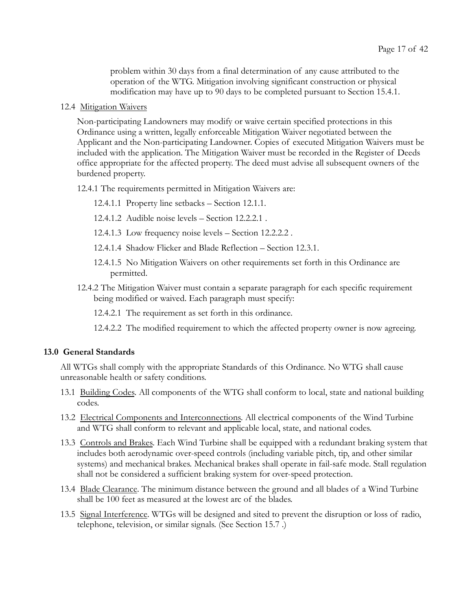problem within 30 days from a final determination of any cause attributed to the operation of the WTG. Mitigation involving significant construction or physical modification may have up to 90 days to be completed pursuant to Section 15.4.1.

12.4 Mitigation Waivers

Non-participating Landowners may modify or waive certain specified protections in this Ordinance using a written, legally enforceable Mitigation Waiver negotiated between the Applicant and the Non-participating Landowner. Copies of executed Mitigation Waivers must be included with the application. The Mitigation Waiver must be recorded in the Register of Deeds office appropriate for the affected property. The deed must advise all subsequent owners of the burdened property.

12.4.1 The requirements permitted in Mitigation Waivers are:

- 12.4.1.1 Property line setbacks Section 12.1.1.
- 12.4.1.2 Audible noise levels Section 12.2.2.1 .
- 12.4.1.3 Low frequency noise levels Section 12.2.2.2 .
- 12.4.1.4 Shadow Flicker and Blade Reflection Section 12.3.1.
- 12.4.1.5 No Mitigation Waivers on other requirements set forth in this Ordinance are permitted.
- 12.4.2 The Mitigation Waiver must contain a separate paragraph for each specific requirement being modified or waived. Each paragraph must specify:
	- 12.4.2.1 The requirement as set forth in this ordinance.
	- 12.4.2.2 The modified requirement to which the affected property owner is now agreeing.

#### 13.0 General Standards

All WTGs shall comply with the appropriate Standards of this Ordinance. No WTG shall cause unreasonable health or safety conditions.

- 13.1 Building Codes . All components of the WTG shall conform to local, state and national building codes.
- 13.2 Electrical Components and Interconnections. All electrical components of the Wind Turbine and WTG shall conform to relevant and applicable local, state, and national codes.
- 13.3 Controls and Brakes. Each Wind Turbine shall be equipped with a redundant braking system that includes both aerodynamic over-speed controls (including variable pitch, tip, and other similar systems) and mechanical brakes. Mechanical brakes shall operate in fail-safe mode. Stall regulation shall not be considered a sufficient braking system for over-speed protection.
- 13.4 Blade Clearance . The minimum distance between the ground and all blades of a Wind Turbine shall be 100 feet as measured at the lowest arc of the blades.
- 13.5 Signal Interference . WTGs will be designed and sited to prevent the disruption or loss of radio, telephone, television, or similar signals. (See Section 15.7 .)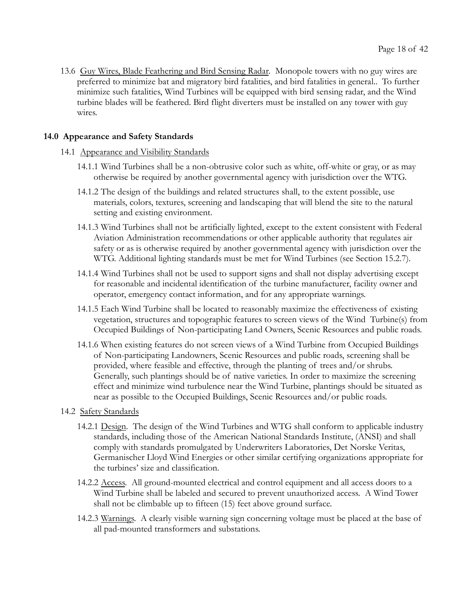13.6 Guy Wires, Blade Feathering and Bird Sensing Radar. Monopole towers with no guy wires are preferred to minimize bat and migratory bird fatalities, and bird fatalities in general.. To further minimize such fatalities, Wind Turbines will be equipped with bird sensing radar, and the Wind turbine blades will be feathered. Bird flight diverters must be installed on any tower with guy wires.

# 14.0 Appearance and Safety Standards

- 14.1 Appearance and Visibility Standards
	- 14.1.1 Wind Turbines shall be a non-obtrusive color such as white, off-white or gray, or as may otherwise be required by another governmental agency with jurisdiction over the WTG.
	- 14.1.2 The design of the buildings and related structures shall, to the extent possible, use materials, colors, textures, screening and landscaping that will blend the site to the natural setting and existing environment.
	- 14.1.3 Wind Turbines shall not be artificially lighted, except to the extent consistent with Federal Aviation Administration recommendations or other applicable authority that regulates air safety or as is otherwise required by another governmental agency with jurisdiction over the WTG. Additional lighting standards must be met for Wind Turbines (see Section 15.2.7).
	- 14.1.4 Wind Turbines shall not be used to support signs and shall not display advertising except for reasonable and incidental identification of the turbine manufacturer, facility owner and operator, emergency contact information, and for any appropriate warnings.
	- 14.1.5 Each Wind Turbine shall be located to reasonably maximize the effectiveness of existing vegetation, structures and topographic features to screen views of the Wind Turbine(s) from Occupied Buildings of Non-participating Land Owners, Scenic Resources and public roads.
	- 14.1.6 When existing features do not screen views of a Wind Turbine from Occupied Buildings of Non-participating Landowners, Scenic Resources and public roads, screening shall be provided, where feasible and effective, through the planting of trees and/or shrubs. Generally, such plantings should be of native varieties. In order to maximize the screening effect and minimize wind turbulence near the Wind Turbine, plantings should be situated as near as possible to the Occupied Buildings, Scenic Resources and/or public roads.
- 14.2 Safety Standards
	- 14.2.1 Design. The design of the Wind Turbines and WTG shall conform to applicable industry standards, including those of the American National Standards Institute, (ANSI) and shall comply with standards promulgated by Underwriters Laboratories, Det Norske Veritas, Germanischer Lloyd Wind Energies or other similar certifying organizations appropriate for the turbines' size and classification.
	- 14.2.2 Access. All ground-mounted electrical and control equipment and all access doors to a Wind Turbine shall be labeled and secured to prevent unauthorized access. A Wind Tower shall not be climbable up to fifteen (15) feet above ground surface.
	- 14.2.3 Warnings . A clearly visible warning sign concerning voltage must be placed at the base of all pad-mounted transformers and substations.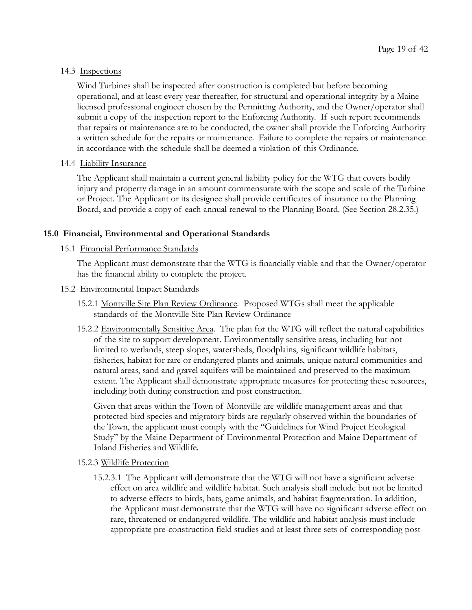# 14.3 Inspections

Wind Turbines shall be inspected after construction is completed but before becoming operational, and at least every year thereafter, for structural and operational integrity by a Maine licensed professional engineer chosen by the Permitting Authority, and the Owner/operator shall submit a copy of the inspection report to the Enforcing Authority. If such report recommends that repairs or maintenance are to be conducted, the owner shall provide the Enforcing Authority a written schedule for the repairs or maintenance. Failure to complete the repairs or maintenance in accordance with the schedule shall be deemed a violation of this Ordinance.

#### 14.4 **Liability Insurance**

The Applicant shall maintain a current general liability policy for the WTG that covers bodily injury and property damage in an amount commensurate with the scope and scale of the Turbine or Project. The Applicant or its designee shall provide certificates of insurance to the Planning Board, and provide a copy of each annual renewal to the Planning Board. (See Section 28.2.35.)

# 15.0 Financial, Environmental and Operational Standards

# 15.1 Financial Performance Standards

The Applicant must demonstrate that the WTG is financially viable and that the Owner/operator has the financial ability to complete the project.

#### 15.2 Environmental Impact Standards

- 15.2.1 Montville Site Plan Review Ordinance . Proposed WTGs shall meet the applicable standards of the Montville Site Plan Review Ordinance
- 15.2.2 Environmentally Sensitive Area. The plan for the WTG will reflect the natural capabilities of the site to support development. Environmentally sensitive areas, including but not limited to wetlands, steep slopes, watersheds, floodplains, significant wildlife habitats, fisheries, habitat for rare or endangered plants and animals, unique natural communities and natural areas, sand and gravel aquifers will be maintained and preserved to the maximum extent. The Applicant shall demonstrate appropriate measures for protecting these resources, including both during construction and post construction.

Given that areas within the Town of Montville are wildlife management areas and that protected bird species and migratory birds are regularly observed within the boundaries of the Town, the applicant must comply with the "Guidelines for Wind Project Ecological Study" by the Maine Department of Environmental Protection and Maine Department of Inland Fisheries and Wildlife.

# 15.2.3 Wildlife Protection

15.2.3.1 The Applicant will demonstrate that the WTG will not have a significant adverse effect on area wildlife and wildlife habitat. Such analysis shall include but not be limited to adverse effects to birds, bats, game animals, and habitat fragmentation. In addition, the Applicant must demonstrate that the WTG will have no significant adverse effect on rare, threatened or endangered wildlife. The wildlife and habitat analysis must include appropriate pre-construction field studies and at least three sets of corresponding post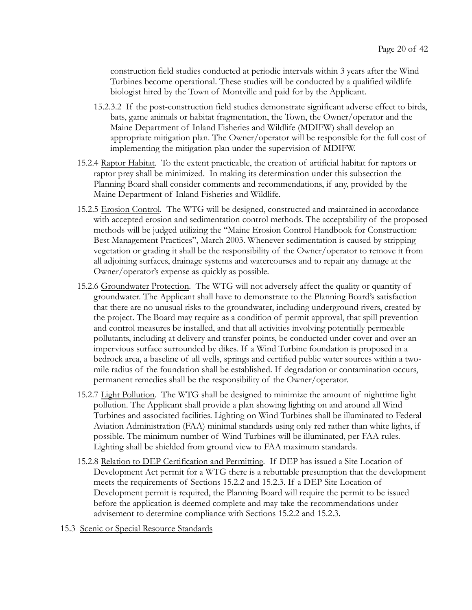construction field studies conducted at periodic intervals within 3 years after the Wind Turbines become operational. These studies will be conducted by a qualified wildlife biologist hired by the Town of Montville and paid for by the Applicant.

- 15.2.3.2 If the post-construction field studies demonstrate significant adverse effect to birds, bats, game animals or habitat fragmentation, the Town, the Owner/operator and the Maine Department of Inland Fisheries and Wildlife (MDIFW) shall develop an appropriate mitigation plan. The Owner/operator will be responsible for the full cost of implementing the mitigation plan under the supervision of MDIFW.
- 15.2.4 Raptor Habitat . To the extent practicable, the creation of artificial habitat for raptors or raptor prey shall be minimized. In making its determination under this subsection the Planning Board shall consider comments and recommendations, if any, provided by the Maine Department of Inland Fisheries and Wildlife.
- 15.2.5 Erosion Control. The WTG will be designed, constructed and maintained in accordance with accepted erosion and sedimentation control methods. The acceptability of the proposed methods will be judged utilizing the "Maine Erosion Control Handbook for Construction: Best Management Practices", March 2003. Whenever sedimentation is caused by stripping vegetation or grading it shall be the responsibility of the Owner/operator to remove it from all adjoining surfaces, drainage systems and watercourses and to repair any damage at the Owner/operator's expense as quickly as possible.
- 15.2.6 Groundwater Protection . The WTG will not adversely affect the quality or quantity of groundwater. The Applicant shall have to demonstrate to the Planning Board's satisfaction that there are no unusual risks to the groundwater, including underground rivers, created by the project. The Board may require as a condition of permit approval, that spill prevention and control measures be installed, and that all activities involving potentially permeable pollutants, including at delivery and transfer points, be conducted under cover and over an impervious surface surrounded by dikes. If a Wind Turbine foundation is proposed in a bedrock area, a baseline of all wells, springs and certified public water sources within a twomile radius of the foundation shall be established. If degradation or contamination occurs, permanent remedies shall be the responsibility of the Owner/operator.
- 15.2.7 Light Pollution. The WTG shall be designed to minimize the amount of nighttime light pollution. The Applicant shall provide a plan showing lighting on and around all Wind Turbines and associated facilities. Lighting on Wind Turbines shall be illuminated to Federal Aviation Administration (FAA) minimal standards using only red rather than white lights, if possible. The minimum number of Wind Turbines will be illuminated, per FAA rules. Lighting shall be shielded from ground view to FAA maximum standards.
- 15.2.8 Relation to DEP Certification and Permitting. If DEP has issued a Site Location of Development Act permit for a WTG there is a rebuttable presumption that the development meets the requirements of Sections 15.2.2 and 15.2.3. If a DEP Site Location of Development permit is required, the Planning Board will require the permit to be issued before the application is deemed complete and may take the recommendations under advisement to determine compliance with Sections 15.2.2 and 15.2.3.
- 15.3 Scenic or Special Resource Standards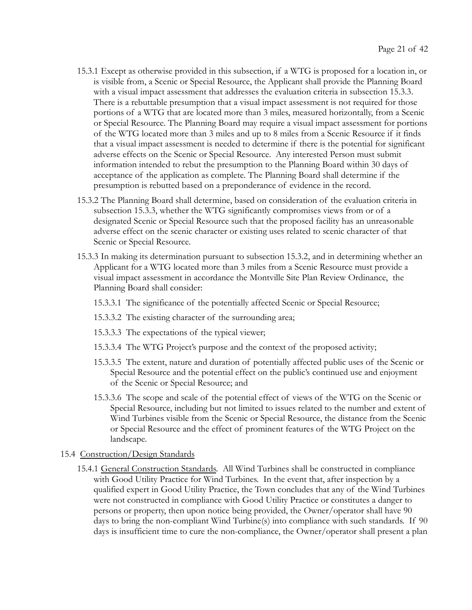- 15.3.1 Except as otherwise provided in this subsection, if a WTG is proposed for a location in, or is visible from, a Scenic or Special Resource, the Applicant shall provide the Planning Board with a visual impact assessment that addresses the evaluation criteria in subsection 15.3.3. There is a rebuttable presumption that a visual impact assessment is not required for those portions of a WTG that are located more than 3 miles, measured horizontally, from a Scenic or Special Resource. The Planning Board may require a visual impact assessment for portions of the WTG located more than 3 miles and up to 8 miles from a Scenic Resource if it finds that a visual impact assessment is needed to determine if there is the potential for significant adverse effects on the Scenic or Special Resource. Any interested Person must submit information intended to rebut the presumption to the Planning Board within 30 days of acceptance of the application as complete. The Planning Board shall determine if the presumption is rebutted based on a preponderance of evidence in the record.
- 15.3.2 The Planning Board shall determine, based on consideration of the evaluation criteria in subsection 15.3.3, whether the WTG significantly compromises views from or of a designated Scenic or Special Resource such that the proposed facility has an unreasonable adverse effect on the scenic character or existing uses related to scenic character of that Scenic or Special Resource.
- 15.3.3 In making its determination pursuant to subsection 15.3.2, and in determining whether an Applicant for a WTG located more than 3 miles from a Scenic Resource must provide a visual impact assessment in accordance the Montville Site Plan Review Ordinance, the Planning Board shall consider:
	- 15.3.3.1 The significance of the potentially affected Scenic or Special Resource;
	- 15.3.3.2 The existing character of the surrounding area;
	- 15.3.3.3 The expectations of the typical viewer;
	- 15.3.3.4 The WTG Project's purpose and the context of the proposed activity;
	- 15.3.3.5 The extent, nature and duration of potentially affected public uses of the Scenic or Special Resource and the potential effect on the public's continued use and enjoyment of the Scenic or Special Resource; and
	- 15.3.3.6 The scope and scale of the potential effect of views of the WTG on the Scenic or Special Resource, including but not limited to issues related to the number and extent of Wind Turbines visible from the Scenic or Special Resource, the distance from the Scenic or Special Resource and the effect of prominent features of the WTG Project on the landscape.
- 15.4 Construction/Design Standards
	- 15.4.1 General Construction Standards . All Wind Turbines shall be constructed in compliance with Good Utility Practice for Wind Turbines. In the event that, after inspection by a qualified expert in Good Utility Practice, the Town concludes that any of the Wind Turbines were not constructed in compliance with Good Utility Practice or constitutes a danger to persons or property, then upon notice being provided, the Owner/operator shall have 90 days to bring the non-compliant Wind Turbine(s) into compliance with such standards. If 90 days is insufficient time to cure the non-compliance, the Owner/operator shall present a plan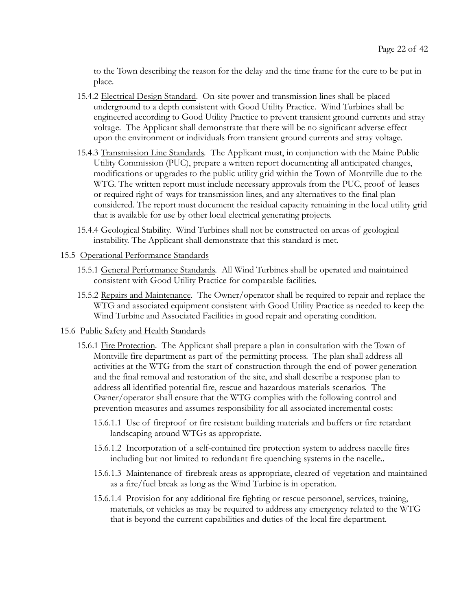to the Town describing the reason for the delay and the time frame for the cure to be put in place.

- 15.4.2 Electrical Design Standard. On-site power and transmission lines shall be placed underground to a depth consistent with Good Utility Practice. Wind Turbines shall be engineered according to Good Utility Practice to prevent transient ground currents and stray voltage. The Applicant shall demonstrate that there will be no significant adverse effect upon the environment or individuals from transient ground currents and stray voltage.
- 15.4.3 Transmission Line Standards . The Applicant must, in conjunction with the Maine Public Utility Commission (PUC), prepare a written report documenting all anticipated changes, modifications or upgrades to the public utility grid within the Town of Montville due to the WTG. The written report must include necessary approvals from the PUC, proof of leases or required right of ways for transmission lines, and any alternatives to the final plan considered. The report must document the residual capacity remaining in the local utility grid that is available for use by other local electrical generating projects.
- 15.4.4 Geological Stability . Wind Turbines shall not be constructed on areas of geological instability. The Applicant shall demonstrate that this standard is met.
- 15.5 Operational Performance Standards
	- 15.5.1 General Performance Standards . All Wind Turbines shall be operated and maintained consistent with Good Utility Practice for comparable facilities.
	- 15.5.2 Repairs and Maintenance. The Owner/operator shall be required to repair and replace the WTG and associated equipment consistent with Good Utility Practice as needed to keep the Wind Turbine and Associated Facilities in good repair and operating condition.

#### 15.6 Public Safety and Health Standards

- 15.6.1 Fire Protection. The Applicant shall prepare a plan in consultation with the Town of Montville fire department as part of the permitting process. The plan shall address all activities at the WTG from the start of construction through the end of power generation and the final removal and restoration of the site, and shall describe a response plan to address all identified potential fire, rescue and hazardous materials scenarios. The Owner/operator shall ensure that the WTG complies with the following control and prevention measures and assumes responsibility for all associated incremental costs:
	- 15.6.1.1 Use of fireproof or fire resistant building materials and buffers or fire retardant landscaping around WTGs as appropriate.
	- 15.6.1.2 Incorporation of a self-contained fire protection system to address nacelle fires including but not limited to redundant fire quenching systems in the nacelle..
	- 15.6.1.3 Maintenance of firebreak areas as appropriate, cleared of vegetation and maintained as a fire/fuel break as long as the Wind Turbine is in operation.
	- 15.6.1.4 Provision for any additional fire fighting or rescue personnel, services, training, materials, or vehicles as may be required to address any emergency related to the WTG that is beyond the current capabilities and duties of the local fire department.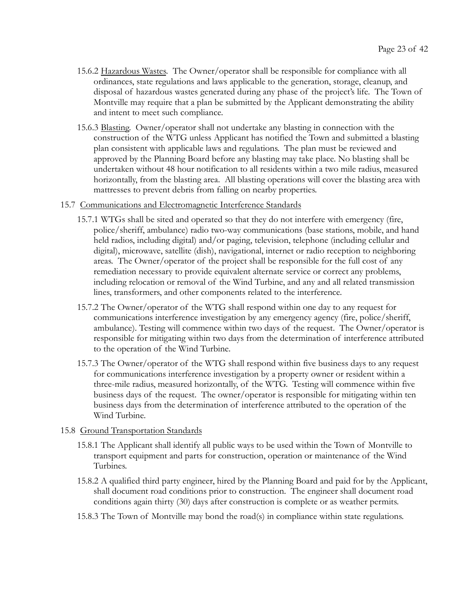- 15.6.2 Hazardous Wastes . The Owner/operator shall be responsible for compliance with all ordinances, state regulations and laws applicable to the generation, storage, cleanup, and disposal of hazardous wastes generated during any phase of the project's life. The Town of Montville may require that a plan be submitted by the Applicant demonstrating the ability and intent to meet such compliance.
- 15.6.3 Blasting . Owner/operator shall not undertake any blasting in connection with the construction of the WTG unless Applicant has notified the Town and submitted a blasting plan consistent with applicable laws and regulations. The plan must be reviewed and approved by the Planning Board before any blasting may take place. No blasting shall be undertaken without 48 hour notification to all residents within a two mile radius, measured horizontally, from the blasting area. All blasting operations will cover the blasting area with mattresses to prevent debris from falling on nearby properties.

#### 15.7 Communications and Electromagnetic Interference Standards

- 15.7.1 WTGs shall be sited and operated so that they do not interfere with emergency (fire, police/sheriff, ambulance) radio two-way communications (base stations, mobile, and hand held radios, including digital) and/or paging, television, telephone (including cellular and digital), microwave, satellite (dish), navigational, internet or radio reception to neighboring areas. The Owner/operator of the project shall be responsible for the full cost of any remediation necessary to provide equivalent alternate service or correct any problems, including relocation or removal of the Wind Turbine, and any and all related transmission lines, transformers, and other components related to the interference.
- 15.7.2 The Owner/operator of the WTG shall respond within one day to any request for communications interference investigation by any emergency agency (fire, police/sheriff, ambulance). Testing will commence within two days of the request. The Owner/operator is responsible for mitigating within two days from the determination of interference attributed to the operation of the Wind Turbine.
- 15.7.3 The Owner/operator of the WTG shall respond within five business days to any request for communications interference investigation by a property owner or resident within a three-mile radius, measured horizontally, of the WTG. Testing will commence within five business days of the request. The owner/operator is responsible for mitigating within ten business days from the determination of interference attributed to the operation of the Wind Turbine.

#### 15.8 Ground Transportation Standards

- 15.8.1 The Applicant shall identify all public ways to be used within the Town of Montville to transport equipment and parts for construction, operation or maintenance of the Wind Turbines.
- 15.8.2 A qualified third party engineer, hired by the Planning Board and paid for by the Applicant, shall document road conditions prior to construction. The engineer shall document road conditions again thirty (30) days after construction is complete or as weather permits.
- 15.8.3 The Town of Montville may bond the road(s) in compliance within state regulations.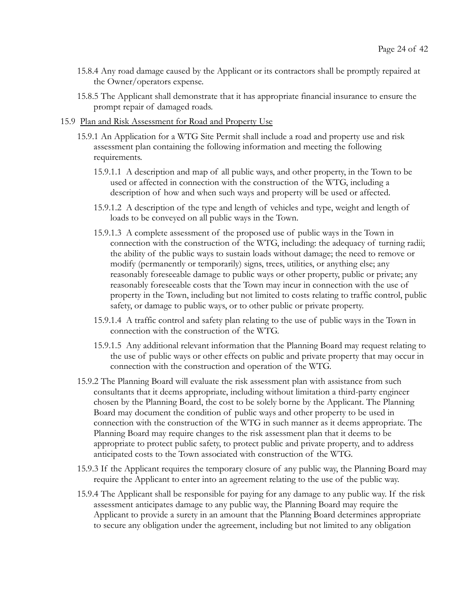- 15.8.4 Any road damage caused by the Applicant or its contractors shall be promptly repaired at the Owner/operators expense.
- 15.8.5 The Applicant shall demonstrate that it has appropriate financial insurance to ensure the prompt repair of damaged roads.

#### 15.9 Plan and Risk Assessment for Road and Property Use

- 15.9.1 An Application for a WTG Site Permit shall include a road and property use and risk assessment plan containing the following information and meeting the following requirements.
	- 15.9.1.1 A description and map of all public ways, and other property, in the Town to be used or affected in connection with the construction of the WTG, including a description of how and when such ways and property will be used or affected.
	- 15.9.1.2 A description of the type and length of vehicles and type, weight and length of loads to be conveyed on all public ways in the Town.
	- 15.9.1.3 A complete assessment of the proposed use of public ways in the Town in connection with the construction of the WTG, including: the adequacy of turning radii; the ability of the public ways to sustain loads without damage; the need to remove or modify (permanently or temporarily) signs, trees, utilities, or anything else; any reasonably foreseeable damage to public ways or other property, public or private; any reasonably foreseeable costs that the Town may incur in connection with the use of property in the Town, including but not limited to costs relating to traffic control, public safety, or damage to public ways, or to other public or private property.
	- 15.9.1.4 A traffic control and safety plan relating to the use of public ways in the Town in connection with the construction of the WTG.
	- 15.9.1.5 Any additional relevant information that the Planning Board may request relating to the use of public ways or other effects on public and private property that may occur in connection with the construction and operation of the WTG.
- 15.9.2 The Planning Board will evaluate the risk assessment plan with assistance from such consultants that it deems appropriate, including without limitation a third-party engineer chosen by the Planning Board, the cost to be solely borne by the Applicant. The Planning Board may document the condition of public ways and other property to be used in connection with the construction of the WTG in such manner as it deems appropriate. The Planning Board may require changes to the risk assessment plan that it deems to be appropriate to protect public safety, to protect public and private property, and to address anticipated costs to the Town associated with construction of the WTG.
- 15.9.3 If the Applicant requires the temporary closure of any public way, the Planning Board may require the Applicant to enter into an agreement relating to the use of the public way.
- 15.9.4 The Applicant shall be responsible for paying for any damage to any public way. If the risk assessment anticipates damage to any public way, the Planning Board may require the Applicant to provide a surety in an amount that the Planning Board determines appropriate to secure any obligation under the agreement, including but not limited to any obligation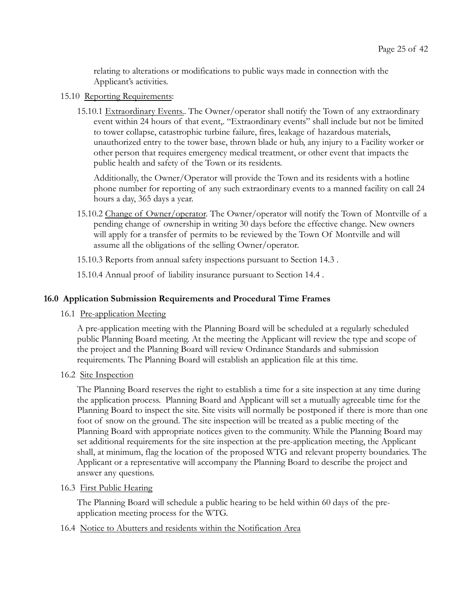relating to alterations or modifications to public ways made in connection with the Applicant's activities.

# 15.10 Reporting Requirements:

15.10.1 Extraordinary Events. . The Owner/operator shall notify the Town of any extraordinary event within 24 hours of that event,. "Extraordinary events" shall include but not be limited to tower collapse, catastrophic turbine failure, fires, leakage of hazardous materials, unauthorized entry to the tower base, thrown blade or hub, any injury to a Facility worker or other person that requires emergency medical treatment, or other event that impacts the public health and safety of the Town or its residents.

Additionally, the Owner/Operator will provide the Town and its residents with a hotline phone number for reporting of any such extraordinary events to a manned facility on call 24 hours a day, 365 days a year.

15.10.2 Change of Owner/operator . The Owner/operator will notify the Town of Montville of a pending change of ownership in writing 30 days before the effective change. New owners will apply for a transfer of permits to be reviewed by the Town Of Montville and will assume all the obligations of the selling Owner/operator.

15.10.3 Reports from annual safety inspections pursuant to Section 14.3 .

15.10.4 Annual proof of liability insurance pursuant to Section 14.4 .

# 16.0 Application Submission Requirements and Procedural Time Frames

#### 16.1 Pre-application Meeting

A pre-application meeting with the Planning Board will be scheduled at a regularly scheduled public Planning Board meeting. At the meeting the Applicant will review the type and scope of the project and the Planning Board will review Ordinance Standards and submission requirements. The Planning Board will establish an application file at this time.

#### 16.2 Site Inspection

The Planning Board reserves the right to establish a time for a site inspection at any time during the application process. Planning Board and Applicant will set a mutually agreeable time for the Planning Board to inspect the site. Site visits will normally be postponed if there is more than one foot of snow on the ground. The site inspection will be treated as a public meeting of the Planning Board with appropriate notices given to the community. While the Planning Board may set additional requirements for the site inspection at the pre-application meeting, the Applicant shall, at minimum, flag the location of the proposed WTG and relevant property boundaries. The Applicant or a representative will accompany the Planning Board to describe the project and answer any questions.

#### 16.3 First Public Hearing

The Planning Board will schedule a public hearing to be held within 60 days of the preapplication meeting process for the WTG.

# 16.4 Notice to Abutters and residents within the Notification Area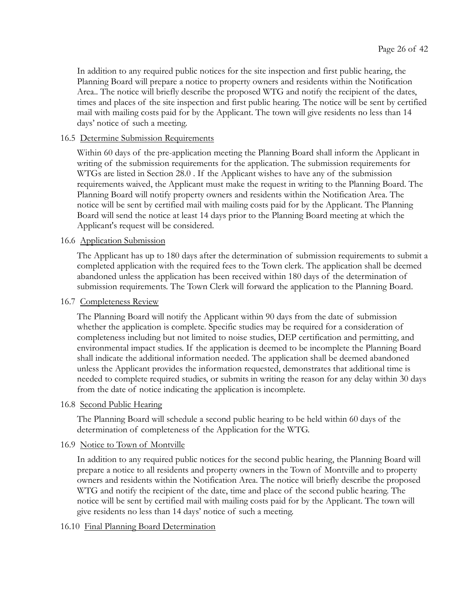In addition to any required public notices for the site inspection and first public hearing, the Planning Board will prepare a notice to property owners and residents within the Notification Area.. The notice will briefly describe the proposed WTG and notify the recipient of the dates, times and places of the site inspection and first public hearing. The notice will be sent by certified mail with mailing costs paid for by the Applicant. The town will give residents no less than 14 days' notice of such a meeting.

# 16.5 Determine Submission Requirements

Within 60 days of the pre-application meeting the Planning Board shall inform the Applicant in writing of the submission requirements for the application. The submission requirements for WTGs are listed in Section 28.0 . If the Applicant wishes to have any of the submission requirements waived, the Applicant must make the request in writing to the Planning Board. The Planning Board will notify property owners and residents within the Notification Area. The notice will be sent by certified mail with mailing costs paid for by the Applicant. The Planning Board will send the notice at least 14 days prior to the Planning Board meeting at which the Applicant's request will be considered.

# 16.6 Application Submission

The Applicant has up to 180 days after the determination of submission requirements to submit a completed application with the required fees to the Town clerk. The application shall be deemed abandoned unless the application has been received within 180 days of the determination of submission requirements. The Town Clerk will forward the application to the Planning Board.

#### 16.7 Completeness Review

The Planning Board will notify the Applicant within 90 days from the date of submission whether the application is complete. Specific studies may be required for a consideration of completeness including but not limited to noise studies, DEP certification and permitting, and environmental impact studies. If the application is deemed to be incomplete the Planning Board shall indicate the additional information needed. The application shall be deemed abandoned unless the Applicant provides the information requested, demonstrates that additional time is needed to complete required studies, or submits in writing the reason for any delay within 30 days from the date of notice indicating the application is incomplete.

#### 16.8 Second Public Hearing

The Planning Board will schedule a second public hearing to be held within 60 days of the determination of completeness of the Application for the WTG.

#### 16.9 Notice to Town of Montville

In addition to any required public notices for the second public hearing, the Planning Board will prepare a notice to all residents and property owners in the Town of Montville and to property owners and residents within the Notification Area. The notice will briefly describe the proposed WTG and notify the recipient of the date, time and place of the second public hearing. The notice will be sent by certified mail with mailing costs paid for by the Applicant. The town will give residents no less than 14 days' notice of such a meeting.

# 16.10 Final Planning Board Determination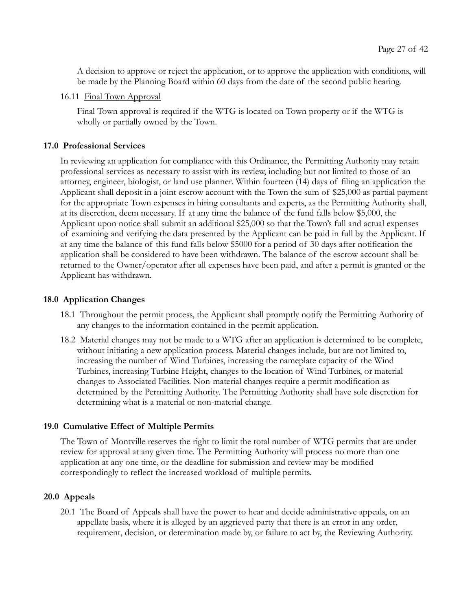A decision to approve or reject the application, or to approve the application with conditions, will be made by the Planning Board within 60 days from the date of the second public hearing.

16.11 Final Town Approval

Final Town approval is required if the WTG is located on Town property or if the WTG is wholly or partially owned by the Town.

#### 17.0 Professional Services

In reviewing an application for compliance with this Ordinance, the Permitting Authority may retain professional services as necessary to assist with its review, including but not limited to those of an attorney, engineer, biologist, or land use planner. Within fourteen (14) days of filing an application the Applicant shall deposit in a joint escrow account with the Town the sum of \$25,000 as partial payment for the appropriate Town expenses in hiring consultants and experts, as the Permitting Authority shall, at its discretion, deem necessary. If at any time the balance of the fund falls below \$5,000, the Applicant upon notice shall submit an additional \$25,000 so that the Town's full and actual expenses of examining and verifying the data presented by the Applicant can be paid in full by the Applicant. If at any time the balance of this fund falls below \$5000 for a period of 30 days after notification the application shall be considered to have been withdrawn. The balance of the escrow account shall be returned to the Owner/operator after all expenses have been paid, and after a permit is granted or the Applicant has withdrawn.

#### 18.0 Application Changes

- 18.1 Throughout the permit process, the Applicant shall promptly notify the Permitting Authority of any changes to the information contained in the permit application.
- 18.2 Material changes may not be made to a WTG after an application is determined to be complete, without initiating a new application process. Material changes include, but are not limited to, increasing the number of Wind Turbines, increasing the nameplate capacity of the Wind Turbines, increasing Turbine Height, changes to the location of Wind Turbines, or material changes to Associated Facilities. Non-material changes require a permit modification as determined by the Permitting Authority. The Permitting Authority shall have sole discretion for determining what is a material or non-material change.

#### 19.0 Cumulative Effect of Multiple Permits

The Town of Montville reserves the right to limit the total number of WTG permits that are under review for approval at any given time. The Permitting Authority will process no more than one application at any one time, or the deadline for submission and review may be modified correspondingly to reflect the increased workload of multiple permits.

#### 20.0 Appeals

20.1 The Board of Appeals shall have the power to hear and decide administrative appeals, on an appellate basis, where it is alleged by an aggrieved party that there is an error in any order, requirement, decision, or determination made by, or failure to act by, the Reviewing Authority.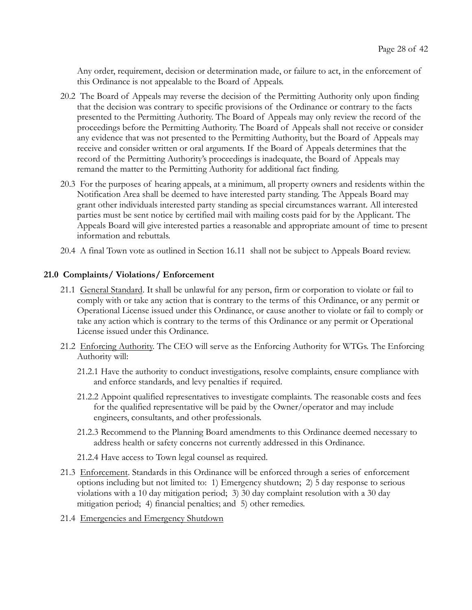Any order, requirement, decision or determination made, or failure to act, in the enforcement of this Ordinance is not appealable to the Board of Appeals.

- 20.2 The Board of Appeals may reverse the decision of the Permitting Authority only upon finding that the decision was contrary to specific provisions of the Ordinance or contrary to the facts presented to the Permitting Authority. The Board of Appeals may only review the record of the proceedings before the Permitting Authority. The Board of Appeals shall not receive or consider any evidence that was not presented to the Permitting Authority, but the Board of Appeals may receive and consider written or oral arguments. If the Board of Appeals determines that the record of the Permitting Authority's proceedings is inadequate, the Board of Appeals may remand the matter to the Permitting Authority for additional fact finding.
- 20.3 For the purposes of hearing appeals, at a minimum, all property owners and residents within the Notification Area shall be deemed to have interested party standing. The Appeals Board may grant other individuals interested party standing as special circumstances warrant. All interested parties must be sent notice by certified mail with mailing costs paid for by the Applicant. The Appeals Board will give interested parties a reasonable and appropriate amount of time to present information and rebuttals.
- 20.4 A final Town vote as outlined in Section 16.11 shall not be subject to Appeals Board review.

# 21.0 Complaints/ Violations/ Enforcement

- 21.1 General Standard . It shall be unlawful for any person, firm or corporation to violate or fail to comply with or take any action that is contrary to the terms of this Ordinance, or any permit or Operational License issued under this Ordinance, or cause another to violate or fail to comply or take any action which is contrary to the terms of this Ordinance or any permit or Operational License issued under this Ordinance.
- 21.2 Enforcing Authority . The CEO will serve as the Enforcing Authority for WTGs. The Enforcing Authority will:
	- 21.2.1 Have the authority to conduct investigations, resolve complaints, ensure compliance with and enforce standards, and levy penalties if required.
	- 21.2.2 Appoint qualified representatives to investigate complaints. The reasonable costs and fees for the qualified representative will be paid by the Owner/operator and may include engineers, consultants, and other professionals.
	- 21.2.3 Recommend to the Planning Board amendments to this Ordinance deemed necessary to address health or safety concerns not currently addressed in this Ordinance.
	- 21.2.4 Have access to Town legal counsel as required.
- 21.3 Enforcement . Standards in this Ordinance will be enforced through a series of enforcement options including but not limited to: 1) Emergency shutdown; 2) 5 day response to serious violations with a 10 day mitigation period; 3) 30 day complaint resolution with a 30 day mitigation period; 4) financial penalties; and 5) other remedies.
- 21.4 Emergencies and Emergency Shutdown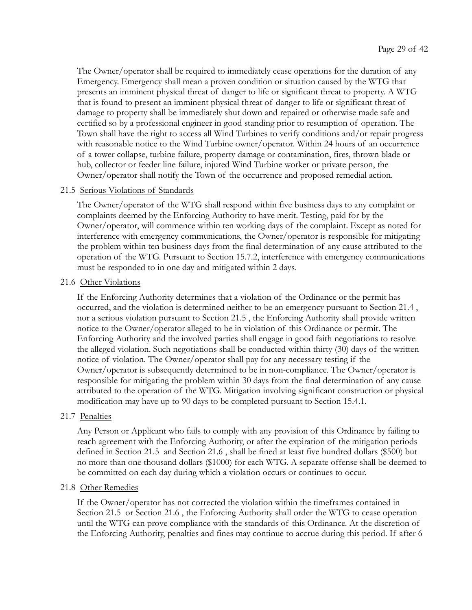The Owner/operator shall be required to immediately cease operations for the duration of any Emergency. Emergency shall mean a proven condition or situation caused by the WTG that presents an imminent physical threat of danger to life or significant threat to property. A WTG that is found to present an imminent physical threat of danger to life or significant threat of damage to property shall be immediately shut down and repaired or otherwise made safe and certified so by a professional engineer in good standing prior to resumption of operation. The Town shall have the right to access all Wind Turbines to verify conditions and/or repair progress with reasonable notice to the Wind Turbine owner/operator. Within 24 hours of an occurrence of a tower collapse, turbine failure, property damage or contamination, fires, thrown blade or hub, collector or feeder line failure, injured Wind Turbine worker or private person, the Owner/operator shall notify the Town of the occurrence and proposed remedial action.

# 21.5 Serious Violations of Standards

The Owner/operator of the WTG shall respond within five business days to any complaint or complaints deemed by the Enforcing Authority to have merit. Testing, paid for by the Owner/operator, will commence within ten working days of the complaint. Except as noted for interference with emergency communications, the Owner/operator is responsible for mitigating the problem within ten business days from the final determination of any cause attributed to the operation of the WTG. Pursuant to Section 15.7.2, interference with emergency communications must be responded to in one day and mitigated within 2 days.

#### 21.6 Other Violations

If the Enforcing Authority determines that a violation of the Ordinance or the permit has occurred, and the violation is determined neither to be an emergency pursuant to Section 21.4 , nor a serious violation pursuant to Section 21.5 , the Enforcing Authority shall provide written notice to the Owner/operator alleged to be in violation of this Ordinance or permit. The Enforcing Authority and the involved parties shall engage in good faith negotiations to resolve the alleged violation. Such negotiations shall be conducted within thirty (30) days of the written notice of violation. The Owner/operator shall pay for any necessary testing if the Owner/operator is subsequently determined to be in non-compliance. The Owner/operator is responsible for mitigating the problem within 30 days from the final determination of any cause attributed to the operation of the WTG. Mitigation involving significant construction or physical modification may have up to 90 days to be completed pursuant to Section 15.4.1.

#### 21.7 Penalties

Any Person or Applicant who fails to comply with any provision of this Ordinance by failing to reach agreement with the Enforcing Authority, or after the expiration of the mitigation periods defined in Section 21.5 and Section 21.6 , shall be fined at least five hundred dollars (\$500) but no more than one thousand dollars (\$1000) for each WTG. A separate offense shall be deemed to be committed on each day during which a violation occurs or continues to occur.

#### 21.8 Other Remedies

If the Owner/operator has not corrected the violation within the timeframes contained in Section 21.5 or Section 21.6 , the Enforcing Authority shall order the WTG to cease operation until the WTG can prove compliance with the standards of this Ordinance. At the discretion of the Enforcing Authority, penalties and fines may continue to accrue during this period. If after 6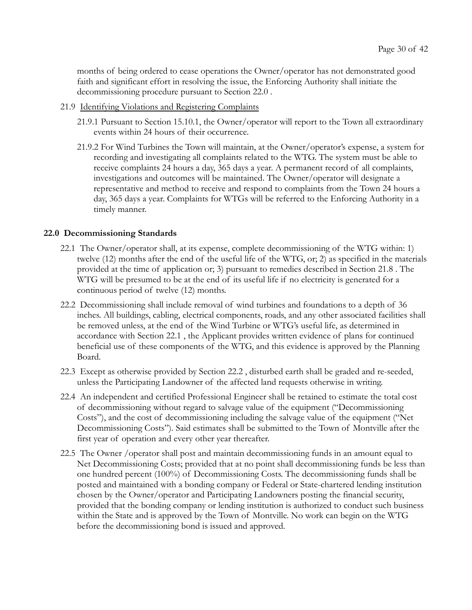months of being ordered to cease operations the Owner/operator has not demonstrated good faith and significant effort in resolving the issue, the Enforcing Authority shall initiate the decommissioning procedure pursuant to Section 22.0 .

- 21.9 Identifying Violations and Registering Complaints
	- 21.9.1 Pursuant to Section 15.10.1, the Owner/operator will report to the Town all extraordinary events within 24 hours of their occurrence.
	- 21.9.2 For Wind Turbines the Town will maintain, at the Owner/operator's expense, a system for recording and investigating all complaints related to the WTG. The system must be able to receive complaints 24 hours a day, 365 days a year. A permanent record of all complaints, investigations and outcomes will be maintained. The Owner/operator will designate a representative and method to receive and respond to complaints from the Town 24 hours a day, 365 days a year. Complaints for WTGs will be referred to the Enforcing Authority in a timely manner.

#### 22.0 Decommissioning Standards

- 22.1 The Owner/operator shall, at its expense, complete decommissioning of the WTG within: 1) twelve (12) months after the end of the useful life of the WTG, or; 2) as specified in the materials provided at the time of application or; 3) pursuant to remedies described in Section 21.8 . The WTG will be presumed to be at the end of its useful life if no electricity is generated for a continuous period of twelve (12) months.
- 22.2 Decommissioning shall include removal of wind turbines and foundations to a depth of 36 inches. All buildings, cabling, electrical components, roads, and any other associated facilities shall be removed unless, at the end of the Wind Turbine or WTG's useful life, as determined in accordance with Section 22.1 , the Applicant provides written evidence of plans for continued beneficial use of these components of the WTG, and this evidence is approved by the Planning Board.
- 22.3 Except as otherwise provided by Section 22.2 , disturbed earth shall be graded and re-seeded, unless the Participating Landowner of the affected land requests otherwise in writing.
- 22.4 An independent and certified Professional Engineer shall be retained to estimate the total cost of decommissioning without regard to salvage value of the equipment ("Decommissioning Costs"), and the cost of decommissioning including the salvage value of the equipment ("Net Decommissioning Costs"). Said estimates shall be submitted to the Town of Montville after the first year of operation and every other year thereafter.
- 22.5 The Owner /operator shall post and maintain decommissioning funds in an amount equal to Net Decommissioning Costs; provided that at no point shall decommissioning funds be less than one hundred percent (100%) of Decommissioning Costs. The decommissioning funds shall be posted and maintained with a bonding company or Federal or State-chartered lending institution chosen by the Owner/operator and Participating Landowners posting the financial security, provided that the bonding company or lending institution is authorized to conduct such business within the State and is approved by the Town of Montville. No work can begin on the WTG before the decommissioning bond is issued and approved.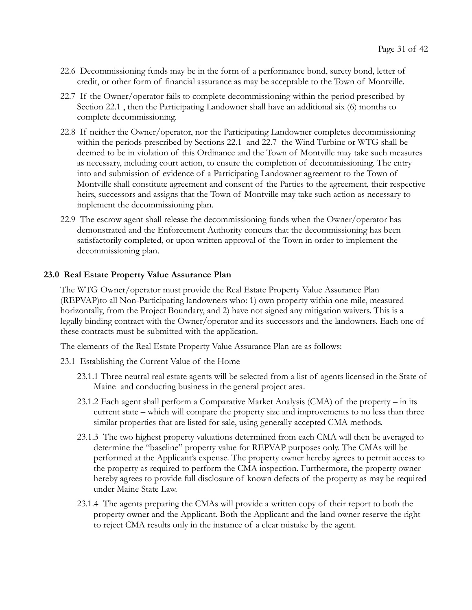- 22.6 Decommissioning funds may be in the form of a performance bond, surety bond, letter of credit, or other form of financial assurance as may be acceptable to the Town of Montville.
- 22.7 If the Owner/operator fails to complete decommissioning within the period prescribed by Section 22.1 , then the Participating Landowner shall have an additional six (6) months to complete decommissioning.
- 22.8 If neither the Owner/operator, nor the Participating Landowner completes decommissioning within the periods prescribed by Sections 22.1 and 22.7 the Wind Turbine or WTG shall be deemed to be in violation of this Ordinance and the Town of Montville may take such measures as necessary, including court action, to ensure the completion of decommissioning. The entry into and submission of evidence of a Participating Landowner agreement to the Town of Montville shall constitute agreement and consent of the Parties to the agreement, their respective heirs, successors and assigns that the Town of Montville may take such action as necessary to implement the decommissioning plan.
- 22.9 The escrow agent shall release the decommissioning funds when the Owner/operator has demonstrated and the Enforcement Authority concurs that the decommissioning has been satisfactorily completed, or upon written approval of the Town in order to implement the decommissioning plan.

#### 23.0 Real Estate Property Value Assurance Plan

The WTG Owner/operator must provide the Real Estate Property Value Assurance Plan (REPVAP)to all Non-Participating landowners who: 1) own property within one mile, measured horizontally, from the Project Boundary, and 2) have not signed any mitigation waivers. This is a legally binding contract with the Owner/operator and its successors and the landowners. Each one of these contracts must be submitted with the application.

The elements of the Real Estate Property Value Assurance Plan are as follows:

- 23.1 Establishing the Current Value of the Home
	- 23.1.1 Three neutral real estate agents will be selected from a list of agents licensed in the State of Maine and conducting business in the general project area.
	- 23.1.2 Each agent shall perform a Comparative Market Analysis (CMA) of the property in its current state – which will compare the property size and improvements to no less than three similar properties that are listed for sale, using generally accepted CMA methods.
	- 23.1.3 The two highest property valuations determined from each CMA will then be averaged to determine the "baseline" property value for REPVAP purposes only. The CMAs will be performed at the Applicant's expense. The property owner hereby agrees to permit access to the property as required to perform the CMA inspection. Furthermore, the property owner hereby agrees to provide full disclosure of known defects of the property as may be required under Maine State Law.
	- 23.1.4 The agents preparing the CMAs will provide a written copy of their report to both the property owner and the Applicant. Both the Applicant and the land owner reserve the right to reject CMA results only in the instance of a clear mistake by the agent.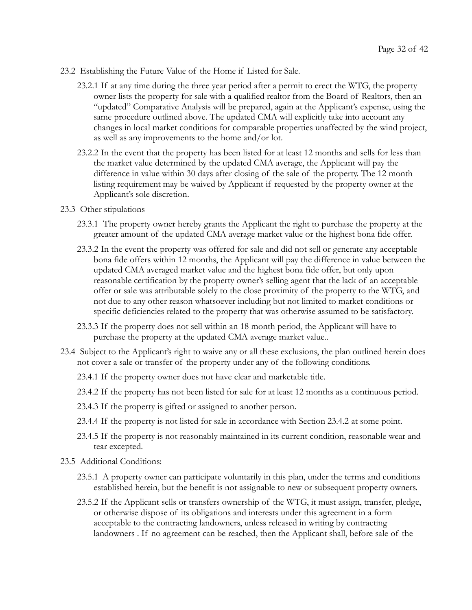- 23.2 Establishing the Future Value of the Home if Listed for Sale.
	- 23.2.1 If at any time during the three year period after a permit to erect the WTG, the property owner lists the property for sale with a qualified realtor from the Board of Realtors, then an "updated" Comparative Analysis will be prepared, again at the Applicant's expense, using the same procedure outlined above. The updated CMA will explicitly take into account any changes in local market conditions for comparable properties unaffected by the wind project, as well as any improvements to the home and/or lot.
	- 23.2.2 In the event that the property has been listed for at least 12 months and sells for less than the market value determined by the updated CMA average, the Applicant will pay the difference in value within 30 days after closing of the sale of the property. The 12 month listing requirement may be waived by Applicant if requested by the property owner at the Applicant's sole discretion.
- 23.3 Other stipulations
	- 23.3.1 The property owner hereby grants the Applicant the right to purchase the property at the greater amount of the updated CMA average market value or the highest bona fide offer.
	- 23.3.2 In the event the property was offered for sale and did not sell or generate any acceptable bona fide offers within 12 months, the Applicant will pay the difference in value between the updated CMA averaged market value and the highest bona fide offer, but only upon reasonable certification by the property owner's selling agent that the lack of an acceptable offer or sale was attributable solely to the close proximity of the property to the WTG, and not due to any other reason whatsoever including but not limited to market conditions or specific deficiencies related to the property that was otherwise assumed to be satisfactory.
	- 23.3.3 If the property does not sell within an 18 month period, the Applicant will have to purchase the property at the updated CMA average market value..
- 23.4 Subject to the Applicant's right to waive any or all these exclusions, the plan outlined herein does not cover a sale or transfer of the property under any of the following conditions.
	- 23.4.1 If the property owner does not have clear and marketable title.
	- 23.4.2 If the property has not been listed for sale for at least 12 months as a continuous period.
	- 23.4.3 If the property is gifted or assigned to another person.
	- 23.4.4 If the property is not listed for sale in accordance with Section 23.4.2 at some point.
	- 23.4.5 If the property is not reasonably maintained in its current condition, reasonable wear and tear excepted.
- 23.5 Additional Conditions:
	- 23.5.1 A property owner can participate voluntarily in this plan, under the terms and conditions established herein, but the benefit is not assignable to new or subsequent property owners.
	- 23.5.2 If the Applicant sells or transfers ownership of the WTG, it must assign, transfer, pledge, or otherwise dispose of its obligations and interests under this agreement in a form acceptable to the contracting landowners, unless released in writing by contracting landowners . If no agreement can be reached, then the Applicant shall, before sale of the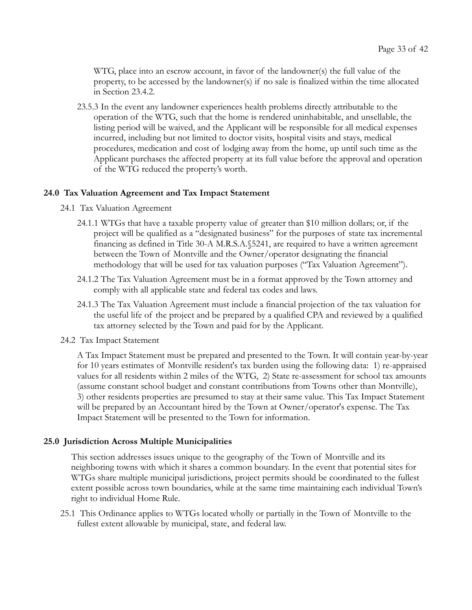WTG, place into an escrow account, in favor of the landowner(s) the full value of the property, to be accessed by the landowner(s) if no sale is finalized within the time allocated in Section 23.4.2.

23.5.3 In the event any landowner experiences health problems directly attributable to the operation of the WTG, such that the home is rendered uninhabitable, and unsellable, the listing period will be waived, and the Applicant will be responsible for all medical expenses incurred, including but not limited to doctor visits, hospital visits and stays, medical procedures, medication and cost of lodging away from the home, up until such time as the Applicant purchases the affected property at its full value before the approval and operation of the WTG reduced the property's worth.

#### 24.0 Tax Valuation Agreement and Tax Impact Statement

- 24.1 Tax Valuation Agreement
	- 24.1.1 WTGs that have a taxable property value of greater than \$10 million dollars; or, if the project will be qualified as a "designated business" for the purposes of state tax incremental financing as defined in Title 30-A M.R.S.A.§5241, are required to have a written agreement between the Town of Montville and the Owner/operator designating the financial methodology that will be used for tax valuation purposes ("Tax Valuation Agreement").
	- 24.1.2 The Tax Valuation Agreement must be in a format approved by the Town attorney and comply with all applicable state and federal tax codes and laws.
	- 24.1.3 The Tax Valuation Agreement must include a financial projection of the tax valuation for the useful life of the project and be prepared by a qualified CPA and reviewed by a qualified tax attorney selected by the Town and paid for by the Applicant.
- 24.2 Tax Impact Statement

A Tax Impact Statement must be prepared and presented to the Town. It will contain year-by-year for 10 years estimates of Montville resident's tax burden using the following data: 1) re-appraised values for all residents within 2 miles of the WTG, 2) State re-assessment for school tax amounts (assume constant school budget and constant contributions from Towns other than Montville), 3) other residents properties are presumed to stay at their same value. This Tax Impact Statement will be prepared by an Accountant hired by the Town at Owner/operator's expense. The Tax Impact Statement will be presented to the Town for information.

#### 25.0 Jurisdiction Across Multiple Municipalities

This section addresses issues unique to the geography of the Town of Montville and its neighboring towns with which it shares a common boundary. In the event that potential sites for WTGs share multiple municipal jurisdictions, project permits should be coordinated to the fullest extent possible across town boundaries, while at the same time maintaining each individual Town's right to individual Home Rule.

25.1 This Ordinance applies to WTGs located wholly or partially in the Town of Montville to the fullest extent allowable by municipal, state, and federal law.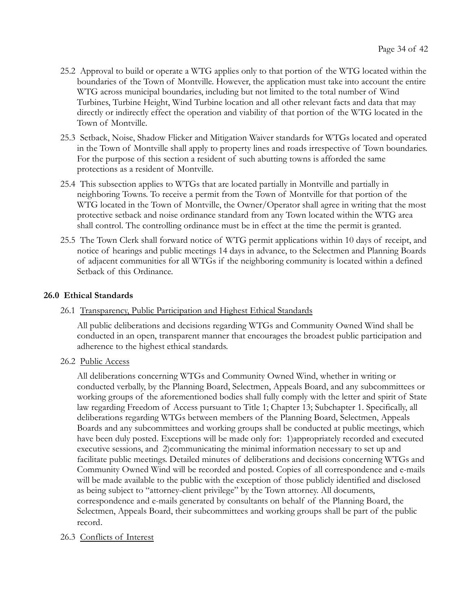- 25.2 Approval to build or operate a WTG applies only to that portion of the WTG located within the boundaries of the Town of Montville. However, the application must take into account the entire WTG across municipal boundaries, including but not limited to the total number of Wind Turbines, Turbine Height, Wind Turbine location and all other relevant facts and data that may directly or indirectly effect the operation and viability of that portion of the WTG located in the Town of Montville.
- 25.3 Setback, Noise, Shadow Flicker and Mitigation Waiver standards for WTGs located and operated in the Town of Montville shall apply to property lines and roads irrespective of Town boundaries. For the purpose of this section a resident of such abutting towns is afforded the same protections as a resident of Montville.
- 25.4 This subsection applies to WTGs that are located partially in Montville and partially in neighboring Towns. To receive a permit from the Town of Montville for that portion of the WTG located in the Town of Montville, the Owner/Operator shall agree in writing that the most protective setback and noise ordinance standard from any Town located within the WTG area shall control. The controlling ordinance must be in effect at the time the permit is granted.
- 25.5 The Town Clerk shall forward notice of WTG permit applications within 10 days of receipt, and notice of hearings and public meetings 14 days in advance, to the Selectmen and Planning Boards of adjacent communities for all WTGs if the neighboring community is located within a defined Setback of this Ordinance.

# 26.0 Ethical Standards

26.1 Transparency, Public Participation and Highest Ethical Standards

All public deliberations and decisions regarding WTGs and Community Owned Wind shall be conducted in an open, transparent manner that encourages the broadest public participation and adherence to the highest ethical standards.

26.2 Public Access

All deliberations concerning WTGs and Community Owned Wind, whether in writing or conducted verbally, by the Planning Board, Selectmen, Appeals Board, and any subcommittees or working groups of the aforementioned bodies shall fully comply with the letter and spirit of State law regarding Freedom of Access pursuant to Title 1; Chapter 13; Subchapter 1. Specifically, all deliberations regarding WTGs between members of the Planning Board, Selectmen, Appeals Boards and any subcommittees and working groups shall be conducted at public meetings, which have been duly posted. Exceptions will be made only for: 1)appropriately recorded and executed executive sessions, and 2)communicating the minimal information necessary to set up and facilitate public meetings. Detailed minutes of deliberations and decisions concerning WTGs and Community Owned Wind will be recorded and posted. Copies of all correspondence and e-mails will be made available to the public with the exception of those publicly identified and disclosed as being subject to "attorney-client privilege" by the Town attorney. All documents, correspondence and e-mails generated by consultants on behalf of the Planning Board, the Selectmen, Appeals Board, their subcommittees and working groups shall be part of the public record.

# 26.3 Conflicts of Interest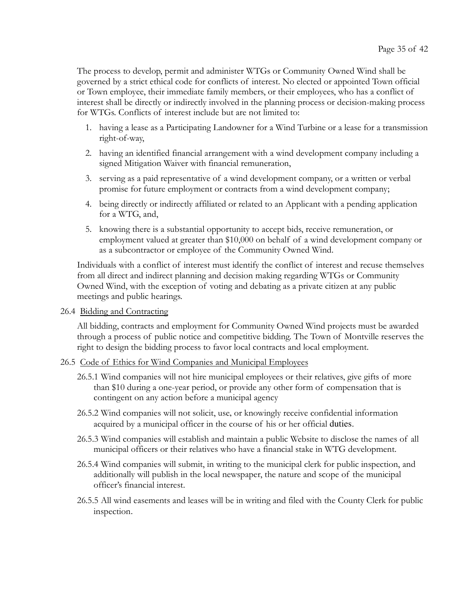The process to develop, permit and administer WTGs or Community Owned Wind shall be governed by a strict ethical code for conflicts of interest. No elected or appointed Town official or Town employee, their immediate family members, or their employees, who has a conflict of interest shall be directly or indirectly involved in the planning process or decision-making process for WTGs. Conflicts of interest include but are not limited to:

- 1. having a lease as a Participating Landowner for a Wind Turbine or a lease for a transmission right-of-way,
- 2. having an identified financial arrangement with a wind development company including a signed Mitigation Waiver with financial remuneration,
- 3. serving as a paid representative of a wind development company, or a written or verbal promise for future employment or contracts from a wind development company;
- 4. being directly or indirectly affiliated or related to an Applicant with a pending application for a WTG, and,
- 5. knowing there is a substantial opportunity to accept bids, receive remuneration, or employment valued at greater than \$10,000 on behalf of a wind development company or as a subcontractor or employee of the Community Owned Wind.

Individuals with a conflict of interest must identify the conflict of interest and recuse themselves from all direct and indirect planning and decision making regarding WTGs or Community Owned Wind, with the exception of voting and debating as a private citizen at any public meetings and public hearings.

#### 26.4 Bidding and Contracting

All bidding, contracts and employment for Community Owned Wind projects must be awarded through a process of public notice and competitive bidding. The Town of Montville reserves the right to design the bidding process to favor local contracts and local employment.

#### 26.5 Code of Ethics for Wind Companies and Municipal Employees

- 26.5.1 Wind companies will not hire municipal employees or their relatives, give gifts of more than \$10 during a one-year period, or provide any other form of compensation that is contingent on any action before a municipal agency
- 26.5.2 Wind companies will not solicit, use, or knowingly receive confidential information acquired by a municipal officer in the course of his or her official duties.
- 26.5.3 Wind companies will establish and maintain a public Website to disclose the names of all municipal officers or their relatives who have a financial stake in WTG development.
- 26.5.4 Wind companies will submit, in writing to the municipal clerk for public inspection, and additionally will publish in the local newspaper, the nature and scope of the municipal officer's financial interest.
- 26.5.5 All wind easements and leases will be in writing and filed with the County Clerk for public inspection.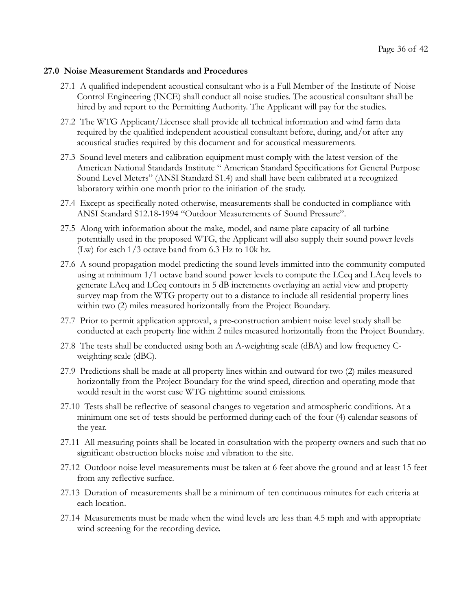#### 27.0 Noise Measurement Standards and Procedures

- 27.1 A qualified independent acoustical consultant who is a Full Member of the Institute of Noise Control Engineering (INCE) shall conduct all noise studies. The acoustical consultant shall be hired by and report to the Permitting Authority. The Applicant will pay for the studies.
- 27.2 The WTG Applicant/Licensee shall provide all technical information and wind farm data required by the qualified independent acoustical consultant before, during, and/or after any acoustical studies required by this document and for acoustical measurements.
- 27.3 Sound level meters and calibration equipment must comply with the latest version of the American National Standards Institute " American Standard Specifications for General Purpose Sound Level Meters" (ANSI Standard S1.4) and shall have been calibrated at a recognized laboratory within one month prior to the initiation of the study.
- 27.4 Except as specifically noted otherwise, measurements shall be conducted in compliance with ANSI Standard S12.18-1994 "Outdoor Measurements of Sound Pressure".
- 27.5 Along with information about the make, model, and name plate capacity of all turbine potentially used in the proposed WTG, the Applicant will also supply their sound power levels (Lw) for each 1/3 octave band from 6.3 Hz to 10k hz.
- 27.6 A sound propagation model predicting the sound levels immitted into the community computed using at minimum 1/1 octave band sound power levels to compute the LCeq and LAeq levels to generate LAeq and LCeq contours in 5 dB increments overlaying an aerial view and property survey map from the WTG property out to a distance to include all residential property lines within two (2) miles measured horizontally from the Project Boundary.
- 27.7 Prior to permit application approval, a pre-construction ambient noise level study shall be conducted at each property line within 2 miles measured horizontally from the Project Boundary.
- 27.8 The tests shall be conducted using both an A-weighting scale (dBA) and low frequency Cweighting scale (dBC).
- 27.9 Predictions shall be made at all property lines within and outward for two (2) miles measured horizontally from the Project Boundary for the wind speed, direction and operating mode that would result in the worst case WTG nighttime sound emissions.
- 27.10 Tests shall be reflective of seasonal changes to vegetation and atmospheric conditions. At a minimum one set of tests should be performed during each of the four (4) calendar seasons of the year.
- 27.11 All measuring points shall be located in consultation with the property owners and such that no significant obstruction blocks noise and vibration to the site.
- 27.12 Outdoor noise level measurements must be taken at 6 feet above the ground and at least 15 feet from any reflective surface.
- 27.13 Duration of measurements shall be a minimum of ten continuous minutes for each criteria at each location.
- 27.14 Measurements must be made when the wind levels are less than 4.5 mph and with appropriate wind screening for the recording device.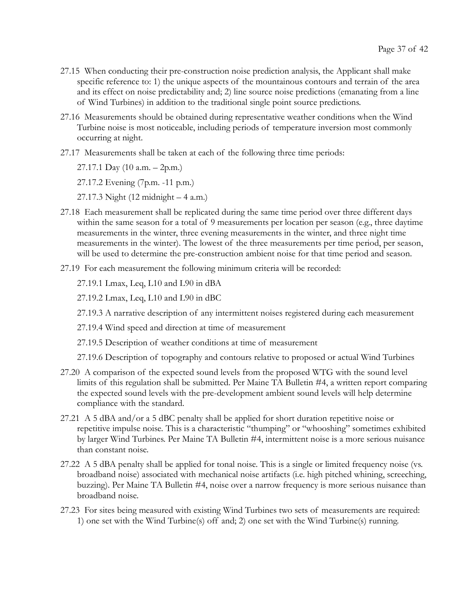- 27.15 When conducting their pre-construction noise prediction analysis, the Applicant shall make specific reference to: 1) the unique aspects of the mountainous contours and terrain of the area and its effect on noise predictability and; 2) line source noise predictions (emanating from a line of Wind Turbines) in addition to the traditional single point source predictions.
- 27.16 Measurements should be obtained during representative weather conditions when the Wind Turbine noise is most noticeable, including periods of temperature inversion most commonly occurring at night.
- 27.17 Measurements shall be taken at each of the following three time periods:
	- 27.17.1 Day (10 a.m. 2p.m.)

27.17.2 Evening (7p.m. -11 p.m.)

27.17.3 Night (12 midnight – 4 a.m.)

- 27.18 Each measurement shall be replicated during the same time period over three different days within the same season for a total of 9 measurements per location per season (e.g., three daytime measurements in the winter, three evening measurements in the winter, and three night time measurements in the winter). The lowest of the three measurements per time period, per season, will be used to determine the pre-construction ambient noise for that time period and season.
- 27.19 For each measurement the following minimum criteria will be recorded:

27.19.1 Lmax, Leq, L10 and L90 in dBA

27.19.2 Lmax, Leq, L10 and L90 in dBC

27.19.3 A narrative description of any intermittent noises registered during each measurement

27.19.4 Wind speed and direction at time of measurement

27.19.5 Description of weather conditions at time of measurement

27.19.6 Description of topography and contours relative to proposed or actual Wind Turbines

- 27.20 A comparison of the expected sound levels from the proposed WTG with the sound level limits of this regulation shall be submitted. Per Maine TA Bulletin #4, a written report comparing the expected sound levels with the pre-development ambient sound levels will help determine compliance with the standard.
- 27.21 A 5 dBA and/or a 5 dBC penalty shall be applied for short duration repetitive noise or repetitive impulse noise. This is a characteristic "thumping" or "whooshing" sometimes exhibited by larger Wind Turbines. Per Maine TA Bulletin #4, intermittent noise is a more serious nuisance than constant noise.
- 27.22 A 5 dBA penalty shall be applied for tonal noise. This is a single or limited frequency noise (vs. broadband noise) associated with mechanical noise artifacts (i.e. high pitched whining, screeching, buzzing). Per Maine TA Bulletin #4, noise over a narrow frequency is more serious nuisance than broadband noise.
- 27.23 For sites being measured with existing Wind Turbines two sets of measurements are required: 1) one set with the Wind Turbine(s) off and; 2) one set with the Wind Turbine(s) running.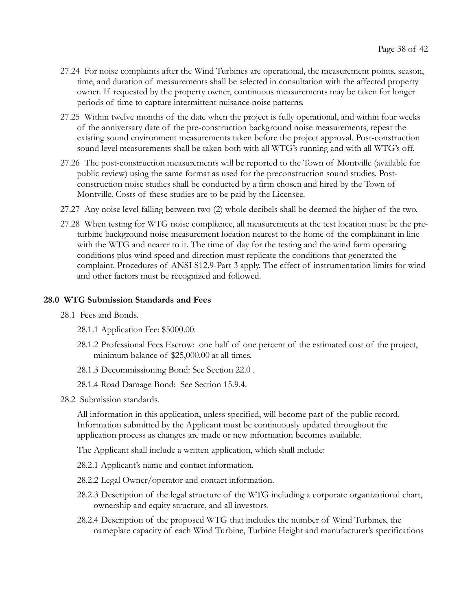- 27.24 For noise complaints after the Wind Turbines are operational, the measurement points, season, time, and duration of measurements shall be selected in consultation with the affected property owner. If requested by the property owner, continuous measurements may be taken for longer periods of time to capture intermittent nuisance noise patterns.
- 27.25 Within twelve months of the date when the project is fully operational, and within four weeks of the anniversary date of the pre-construction background noise measurements, repeat the existing sound environment measurements taken before the project approval. Post-construction sound level measurements shall be taken both with all WTG's running and with all WTG's off.
- 27.26 The post-construction measurements will be reported to the Town of Montville (available for public review) using the same format as used for the preconstruction sound studies. Postconstruction noise studies shall be conducted by a firm chosen and hired by the Town of Montville. Costs of these studies are to be paid by the Licensee.
- 27.27 Any noise level falling between two (2) whole decibels shall be deemed the higher of the two.
- 27.28 When testing for WTG noise compliance, all measurements at the test location must be the preturbine background noise measurement location nearest to the home of the complainant in line with the WTG and nearer to it. The time of day for the testing and the wind farm operating conditions plus wind speed and direction must replicate the conditions that generated the complaint. Procedures of ANSI S12.9-Part 3 apply. The effect of instrumentation limits for wind and other factors must be recognized and followed.

#### 28.0 WTG Submission Standards and Fees

- 28.1 Fees and Bonds.
	- 28.1.1 Application Fee: \$5000.00.
	- 28.1.2 Professional Fees Escrow: one half of one percent of the estimated cost of the project, minimum balance of \$25,000.00 at all times.
	- 28.1.3 Decommissioning Bond: See Section 22.0 .
	- 28.1.4 Road Damage Bond: See Section 15.9.4.
- 28.2 Submission standards.

All information in this application, unless specified, will become part of the public record. Information submitted by the Applicant must be continuously updated throughout the application process as changes are made or new information becomes available.

The Applicant shall include a written application, which shall include:

- 28.2.1 Applicant's name and contact information.
- 28.2.2 Legal Owner/operator and contact information.
- 28.2.3 Description of the legal structure of the WTG including a corporate organizational chart, ownership and equity structure, and all investors.
- 28.2.4 Description of the proposed WTG that includes the number of Wind Turbines, the nameplate capacity of each Wind Turbine, Turbine Height and manufacturer's specifications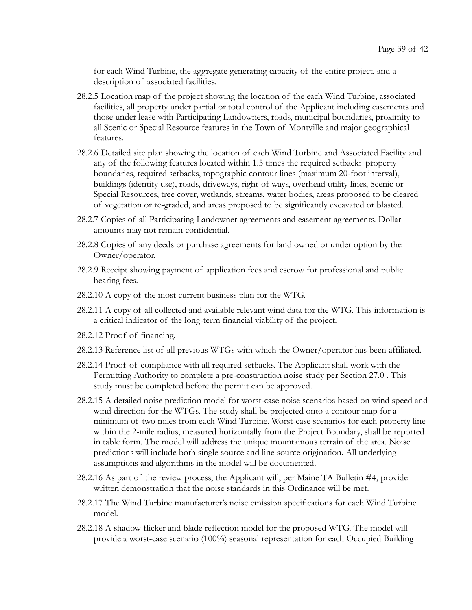for each Wind Turbine, the aggregate generating capacity of the entire project, and a description of associated facilities.

- 28.2.5 Location map of the project showing the location of the each Wind Turbine, associated facilities, all property under partial or total control of the Applicant including easements and those under lease with Participating Landowners, roads, municipal boundaries, proximity to all Scenic or Special Resource features in the Town of Montville and major geographical features.
- 28.2.6 Detailed site plan showing the location of each Wind Turbine and Associated Facility and any of the following features located within 1.5 times the required setback: property boundaries, required setbacks, topographic contour lines (maximum 20-foot interval), buildings (identify use), roads, driveways, right-of-ways, overhead utility lines, Scenic or Special Resources, tree cover, wetlands, streams, water bodies, areas proposed to be cleared of vegetation or re-graded, and areas proposed to be significantly excavated or blasted.
- 28.2.7 Copies of all Participating Landowner agreements and easement agreements. Dollar amounts may not remain confidential.
- 28.2.8 Copies of any deeds or purchase agreements for land owned or under option by the Owner/operator.
- 28.2.9 Receipt showing payment of application fees and escrow for professional and public hearing fees.
- 28.2.10 A copy of the most current business plan for the WTG.
- 28.2.11 A copy of all collected and available relevant wind data for the WTG. This information is a critical indicator of the long-term financial viability of the project.
- 28.2.12 Proof of financing.
- 28.2.13 Reference list of all previous WTGs with which the Owner/operator has been affiliated.
- 28.2.14 Proof of compliance with all required setbacks. The Applicant shall work with the Permitting Authority to complete a pre-construction noise study per Section 27.0 . This study must be completed before the permit can be approved.
- 28.2.15 A detailed noise prediction model for worst-case noise scenarios based on wind speed and wind direction for the WTGs. The study shall be projected onto a contour map for a minimum of two miles from each Wind Turbine. Worst-case scenarios for each property line within the 2-mile radius, measured horizontally from the Project Boundary, shall be reported in table form. The model will address the unique mountainous terrain of the area. Noise predictions will include both single source and line source origination. All underlying assumptions and algorithms in the model will be documented.
- 28.2.16 As part of the review process, the Applicant will, per Maine TA Bulletin #4, provide written demonstration that the noise standards in this Ordinance will be met.
- 28.2.17 The Wind Turbine manufacturer's noise emission specifications for each Wind Turbine model.
- 28.2.18 A shadow flicker and blade reflection model for the proposed WTG. The model will provide a worst-case scenario (100%) seasonal representation for each Occupied Building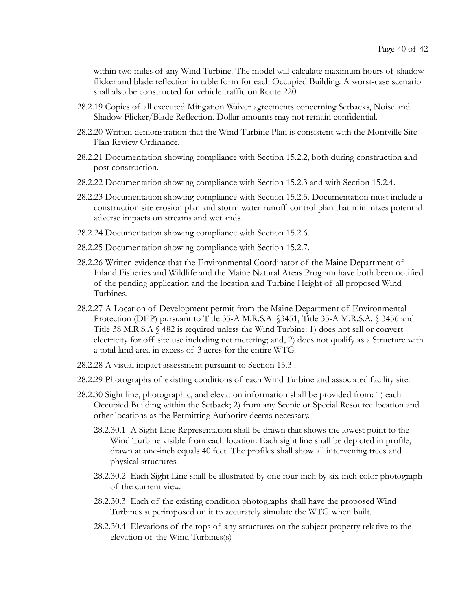within two miles of any Wind Turbine. The model will calculate maximum hours of shadow flicker and blade reflection in table form for each Occupied Building. A worst-case scenario shall also be constructed for vehicle traffic on Route 220.

- 28.2.19 Copies of all executed Mitigation Waiver agreements concerning Setbacks, Noise and Shadow Flicker/Blade Reflection. Dollar amounts may not remain confidential.
- 28.2.20 Written demonstration that the Wind Turbine Plan is consistent with the Montville Site Plan Review Ordinance.
- 28.2.21 Documentation showing compliance with Section 15.2.2, both during construction and post construction.
- 28.2.22 Documentation showing compliance with Section 15.2.3 and with Section 15.2.4.
- 28.2.23 Documentation showing compliance with Section 15.2.5. Documentation must include a construction site erosion plan and storm water runoff control plan that minimizes potential adverse impacts on streams and wetlands.
- 28.2.24 Documentation showing compliance with Section 15.2.6.
- 28.2.25 Documentation showing compliance with Section 15.2.7.
- 28.2.26 Written evidence that the Environmental Coordinator of the Maine Department of Inland Fisheries and Wildlife and the Maine Natural Areas Program have both been notified of the pending application and the location and Turbine Height of all proposed Wind Turbines.
- 28.2.27 A Location of Development permit from the Maine Department of Environmental Protection (DEP) pursuant to Title 35-A M.R.S.A. §3451, Title 35-A M.R.S.A. § 3456 and Title 38 M.R.S.A § 482 is required unless the Wind Turbine: 1) does not sell or convert electricity for off site use including net metering; and, 2) does not qualify as a Structure with a total land area in excess of 3 acres for the entire WTG.
- 28.2.28 A visual impact assessment pursuant to Section 15.3 .
- 28.2.29 Photographs of existing conditions of each Wind Turbine and associated facility site.
- 28.2.30 Sight line, photographic, and elevation information shall be provided from: 1) each Occupied Building within the Setback; 2) from any Scenic or Special Resource location and other locations as the Permitting Authority deems necessary.
	- 28.2.30.1 A Sight Line Representation shall be drawn that shows the lowest point to the Wind Turbine visible from each location. Each sight line shall be depicted in profile, drawn at one-inch equals 40 feet. The profiles shall show all intervening trees and physical structures.
	- 28.2.30.2 Each Sight Line shall be illustrated by one four-inch by six-inch color photograph of the current view.
	- 28.2.30.3 Each of the existing condition photographs shall have the proposed Wind Turbines superimposed on it to accurately simulate the WTG when built.
	- 28.2.30.4 Elevations of the tops of any structures on the subject property relative to the elevation of the Wind Turbines(s)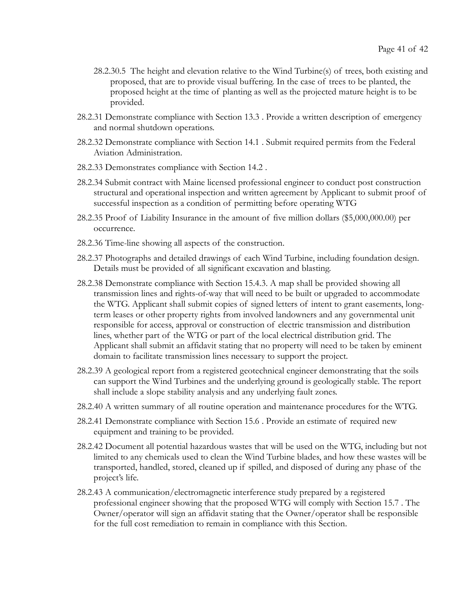- 28.2.30.5 The height and elevation relative to the Wind Turbine(s) of trees, both existing and proposed, that are to provide visual buffering. In the case of trees to be planted, the proposed height at the time of planting as well as the projected mature height is to be provided.
- 28.2.31 Demonstrate compliance with Section 13.3 . Provide a written description of emergency and normal shutdown operations.
- 28.2.32 Demonstrate compliance with Section 14.1 . Submit required permits from the Federal Aviation Administration.
- 28.2.33 Demonstrates compliance with Section 14.2 .
- 28.2.34 Submit contract with Maine licensed professional engineer to conduct post construction structural and operational inspection and written agreement by Applicant to submit proof of successful inspection as a condition of permitting before operating WTG
- 28.2.35 Proof of Liability Insurance in the amount of five million dollars (\$5,000,000.00) per occurrence.
- 28.2.36 Time-line showing all aspects of the construction.
- 28.2.37 Photographs and detailed drawings of each Wind Turbine, including foundation design. Details must be provided of all significant excavation and blasting.
- 28.2.38 Demonstrate compliance with Section 15.4.3. A map shall be provided showing all transmission lines and rights-of-way that will need to be built or upgraded to accommodate the WTG. Applicant shall submit copies of signed letters of intent to grant easements, longterm leases or other property rights from involved landowners and any governmental unit responsible for access, approval or construction of electric transmission and distribution lines, whether part of the WTG or part of the local electrical distribution grid. The Applicant shall submit an affidavit stating that no property will need to be taken by eminent domain to facilitate transmission lines necessary to support the project.
- 28.2.39 A geological report from a registered geotechnical engineer demonstrating that the soils can support the Wind Turbines and the underlying ground is geologically stable. The report shall include a slope stability analysis and any underlying fault zones.
- 28.2.40 A written summary of all routine operation and maintenance procedures for the WTG.
- 28.2.41 Demonstrate compliance with Section 15.6 . Provide an estimate of required new equipment and training to be provided.
- 28.2.42 Document all potential hazardous wastes that will be used on the WTG, including but not limited to any chemicals used to clean the Wind Turbine blades, and how these wastes will be transported, handled, stored, cleaned up if spilled, and disposed of during any phase of the project's life.
- 28.2.43 A communication/electromagnetic interference study prepared by a registered professional engineer showing that the proposed WTG will comply with Section 15.7 . The Owner/operator will sign an affidavit stating that the Owner/operator shall be responsible for the full cost remediation to remain in compliance with this Section.